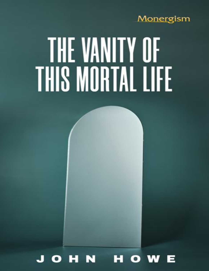# Monergism

# THE VANITY OF **THIS MORTAL LIFE**

#### H N  $\bullet$ **WV**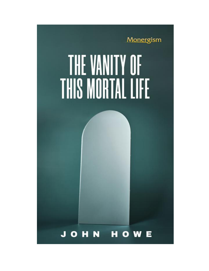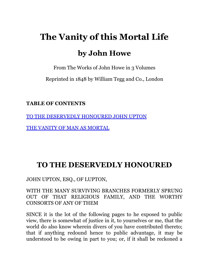# **The Vanity of this Mortal Life by John Howe**

From The Works of John Howe in 3 Volumes

Reprinted in 1848 by William Tegg and Co., London

**TABLE OF CONTENTS**

[TO THE DESERVEDLY HONOURED JOHN UPTON](#page-2-0)

[THE VANITY OF MAN AS MORTAL](#page-9-0)

## <span id="page-2-0"></span>**TO THE DESERVEDLY HONOURED**

JOHN UPTON, ESQ., OF LUPTON,

WITH THE MANY SURVIVING BRANCHES FORMERLY SPRUNG OUT OF THAT RELIGIOUS FAMILY, AND THE WORTHY CONSORTS OF ANY OF THEM

SINCE it is the lot of the following pages to he exposed to public view, there is somewhat of justice in it, to yourselves or me, that the world do also know wherein divers of you have contributed thereto; that if anything redound hence to public advantage, it may be understood to be owing in part to you; or, if it shall be reckoned a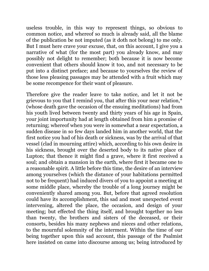useless trouble, in this way to represent things, so obvious to common notice, and whereof so much is already said, all the blame of the publication be not imputed (as it doth not belong) to me only. But I must here crave your excuse, that, on this account, I give you a narrative of what (for the most part) you already know, and may possibly not delight to remember; both because it is now become convenient that others should know it too, and not necessary to be put into a distinct preface; and because to yourselves the review of those less pleasing passages may be attended with a fruit which may be some recompence for their want of pleasure.

Therefore give the reader leave to take notice, and let it not be grievous to you that I remind you, that after this your near relation,\* (whose death gave the occasion of the ensuing meditations) had from his youth lived between twenty and thirty years of his age in Spain, your joint importunity had at length obtained from him a promise of returning; whereof when you were in somewhat a near expectation, a sudden disease in so few days landed him in another world, that the first notice you had of his death or sickness, was by the arrival of that vessel (clad in mourning attire) which, according to his own desire in his sickness, brought over the deserted body to its native place of Lupton; that thence it might find a grave, where it first received a soul; and obtain a mansion in the earth, where first it became one to a reasonable spirit. A little before this time, the desire of an interview among yourselves (which the distance of your habitations permitted not to be frequent) had induced divers of you to appoint a meeting at some middle place, whereby the trouble of a long journey might be conveniently shared among you. But, before that agreed resolution could have its accomplishment, this sad and most unexpected event intervening, altered the place, the occasion, and design of your meeting; but effected the thing itself, and brought together no less than twenty, the brothers and sisters of the deceased, or their consorts, besides his many nephews and nieces and other relations, to the mournful solemnity of the interment. Within the time of our being together upon this sad account, this passage of the Psalmist here insisted on came into discourse among us; being introduced by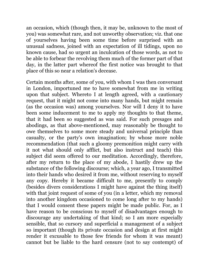an occasion, which (though then, it may be, unknown to the most of you) was somewhat rare, and not unworthy observation; viz. that one of yourselves having been some time before surprised with an unusual sadness, joined with an expectation of ill tidings, upon no known cause, had so urgent an inculcation of those words, as not to be able to forbear the revolving them much of the former part of that day, in the latter part whereof the first notice was brought to that place of this so near a relation's decease.

Certain months after, some of you, with whom I was then conversant in London, importuned me to have somewhat from me in writing upon that subject. Whereto I at length agreed, with a cautionary request, that it might not come into many hands, but might remain (as the occasion was) among yourselves. Nor will I deny it to have been some inducement to me to apply my thoughts to that theme, that it had been so suggested as was said. For such presages and abodings, as that above-mentioned, may reasonably be thought to owe themselves to some more steady and universal principle than casualty, or the party's own imagination; by whose more noble recommendation (that such a gloomy premonition might carry with it not what should only afflict, but also instruct and teach) this subject did seem offered to our meditation. Accordingly, therefore, after my return to the place of my abode, I hastily drew up the substance of the following discourse; which, a year ago, I transmitted into their hands who desired it from me, without reserving to myself any copy. Hereby it became difficult to me, presently to comply (besides divers considerations I might have against the thing itself) with that joint request of some of you (in a letter, which my removal into another kingdom occasioned to come long after to my hands) that I would consent these papers might be made public. For, as I have reason to be conscious to myself of disadvantages enough to discourage any undertaking of that kind; so I am more especially sensible, that so cursory and superficial a management of a subject so important (though its private occasion and design at first might render it excusable to those few friends for whom it was meant) cannot but be liable to the hard censure (not to say contempt) of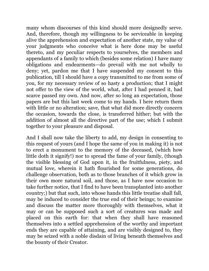many whom discourses of this kind should more designedly serve. And, therefore, though my willingness to be serviceable in keeping alive the apprehension and expectation of another state, my value of your judgments who conceive what is here done may be useful thereto, and my peculiar respects to yourselves, the members and appendants of a family to which (besides some relation) I have many obligations and endearments—do prevail with me not wholly to deny; yet, pardon me that I have suspended my consent to this publication, till I should have a copy transmitted to me from some of you, for my necessary review of so hasty a production; that I might not offer to the view of the world, what, after I had penned it, had scarce passed my own. And now, after so long an expectation, those papers are but this last week come to my hands. I here return them with little or no alteration; save, that what did more directly concern the occasion, towards the close, is transferred hither; but with the addition of almost all the directive part of the use; which I submit together to your pleasure and disposal.

And I shall now take the liberty to add, my design in consenting to this request of yours (and I hope the same of you in making it) is not to erect a monument to the memory of the deceased, (which how little doth it signify!) nor to spread the fame of your family, (though the visible blessing of God upon it, in the fruitfulness, piety, and mutual love, wherein it hath flourished for some generations, do challenge observation, both as to those branches of it which grow in their own more natural soil, and those, as I have now occasion to take further notice, that I find to have been transplanted into another country;) but that such, into whose hands this little treatise shall fall, may be induced to consider the true end of their beings; to examine and discuss the matter more thoroughly with themselves, what it may or can be supposed such a sort of creatures was made and placed on this earth for: that when they shall have reasoned themselves into a settled apprehension of the worthy and important ends they are capable of attaining, and are visibly designed to, they may be seized with a noble disdain of living beneath themselves and the bounty of their Creator.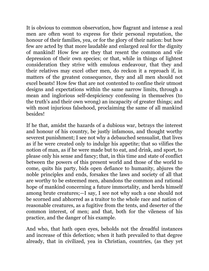It is obvious to common observation, how flagrant and intense a zeal men are often wont to express for their personal reputation, the honour of their families, yea, or for the glory of their nation: but how few are acted by that more laudable and enlarged zeal for the dignity of mankind! How few are they that resent the common and vile depression of their own species; or that, while in things of lightest consideration they strive with emulous endeavour, that they and their relatives may excel other men, do reckon it a reproach if, in matters of the greatest consequence, they and all men should not excel beasts! How few that are not contented to confine their utmost designs and expectations within the same narrow limits, through a mean and inglorious self-despiciency confessing in themselves (to the truth's and their own wrong) an incapacity of greater things; and with most injurious falsehood, proclaiming the same of all mankind besides!

If he that, amidst the hazards of a dubious war, betrays the interest and honour of his country, be justly infamous, and thought worthy severest punishment; I see not why a debauched sensualist, that lives as if he were created only to indulge his appetite; that so vilifies the notion of man, as if he were made but to eat, and drink, and sport, to please only his sense and fancy; that, in this time and state of conflict between the powers of this present world and those of the world to come, quits his party, bids open defiance to humanity, abjures the noble principles and ends, forsakes the laws and society of all that are worthy to be esteemed men, abandons the common and rational hope of mankind concerning a future immortality, and herds himself among brute creatures;—I say, I see not why such a one should not be scorned and abhorred as a traitor to the whole race and nation of reasonable creatures, as a fugitive from the tents, and deserter of the common interest, of men; and that, both for the vileness of his practice, and the danger of his example.

And who, that hath open eyes, beholds not the dreadful instances and increase of this defection; when it hath prevailed to that degree already, that in civilized, yea in Christian, countries, (as they yet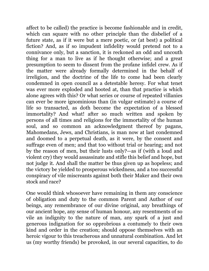affect to be called) the practice is become fashionable and in credit, which can square with no other principle than the disbelief of a future state, as if it were but a mere poetic, or (at best) a political fiction? And, as if so impudent infidelity would pretend not to a connivance only, but a sanction, it is reckoned an odd and uncouth thing for a man to live as if he thought otherwise; and a great presumption to seem to dissent from the profane infidel crew. As if the matter were already formally determined in the behalf of irreligion, and the doctrine of the life to come had been clearly condemned in open council as a detestable heresy. For what tenet was ever more exploded and hooted at, than that practice is which alone agrees with this? Or what series or course of repeated villanies can ever be more ignominious than (in vulgar estimate) a course of life so transacted, as doth become the expectation of a blessed immortality? And what! after so much written and spoken by persons of all times and religions for the immortality of the human soul, and so common an acknowledgment thereof by pagans, Mahomedans, Jews, and Christians, is man now at last condemned and doomed to a perpetual death, as it were, by the consent and suffrage even of men; and that too without trial or hearing; and not by the reason of men, but their lusts only?—as if (with a loud and violent cry) they would assassinate and stifle this belief and hope, but not judge it. And shall the matter be thus given up as hopeless; and the victory be yielded to prosperous wickedness, and a too successful conspiracy of vile miscreants against both their Maker and their own stock and race?

One would think whosoever have remaining in them any conscience of obligation and duty to the common Parent and Author of our beings, any remembrance of our divine original, any breathings of our ancient hope, any sense of human honour, any resentments of so vile an indignity to the nature of man, any spark of a just and generous indignation for so opprobrious a contumely to their own kind and order in the creation; should oppose themselves with an heroic vigour to this treacherous and unnatural combination. And let us (my worthy friends) be provoked, in our several capacities, to do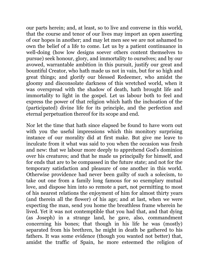our parts herein; and, at least, so to live and converse in this world, that the course and tenor of our lives may import an open asserting of our hopes in another; and may let men see we are not ashamed to own the belief of a life to come. Let us by a patient continuance in well-doing (how low designs soever others content themselves to pursue) seek honour, glory, and immortality to ourselves; and by our avowed, warrantable ambition in this pursuit, justify our great and bountiful Creator, who hath made us not in vain, but for so high and great things; and glorify our blessed Redeemer, who amidst the gloomy and disconsolate darkness of this wretched world, when it was overspread with the shadow of death, hath brought life and immortality to light in the gospel. Let us labour both to feel and express the power of that religion which hath the inchoation of the (participated) divine life for its principle, and the perfection and eternal perpetuation thereof for its scope and end.

Nor let the time that hath since elapsed be found to have worn out with you the useful impressions which this monitory surprising instance of our morality did at first make. But give me leave to inculcate from it what was said to you when the occasion was fresh and new: that we labour more deeply to apprehend God's dominion over his creatures; and that he made us principally for himself, and for ends that are to be compassed in the future state; and not for the temporary satisfaction and pleasure of one another in this world. Otherwise providence had never been guilty of such a solecism, to take out one from a family long famous for so exemplary mutual love, and dispose him into so remote a part, not permitting to most of his nearest relations the enjoyment of him for almost thirty years (and therein all the flower) of his age; and at last, when we were expecting the man, send you home the breathless frame wherein he lived. Yet it was not contemptible that you had that, and that dying (as Joseph) in a strange land, he gave, also, commandment concerning his bones; that though in his life he was (mostly) separated from his brethren, he might in death be gathered to his fathers. It was some evidence (though you wanted not better) that, amidst the traffic of Spain, he more esteemed the religion of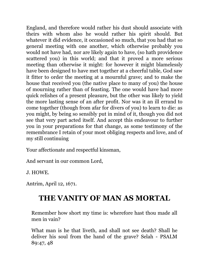England, and therefore would rather his dust should associate with theirs with whom also he would rather his spirit should. But whatever it did evidence, it occasioned so much, that you had that so general meeting with one another, which otherwise probably you would not have had, nor are likely again to have, (so hath providence scattered you) in this world; and that it proved a more serious meeting than otherwise it might: for however it might blamelessly have been designed to have met together at a cheerful table, God saw it fitter to order the meeting at a mournful grave; and to make the house that received you (the native place to many of you) the house of mourning rather than of feasting. The one would have had more quick relishes of a present pleasure, but the other was likely to yield the more lasting sense of an after profit. Nor was it an ill errand to come together (though from afar for divers of you) to learn to die: as you might, by being so sensibly put in mind of it, though you did not see that very part acted itself. And accept this endeavour to further you in your preparations for that change, as some testimony of the remembrance I retain of your most obliging respects and love, and of my still continuing

Your affectionate and respectful kinsman,

And servant in our common Lord,

J. HOWE.

Antrim, April 12, 1671.

## <span id="page-9-0"></span>**THE VANITY OF MAN AS MORTAL**

Remember how short my time is: wherefore hast thou made all men in vain?

What man is he that liveth, and shall not see death? Shall he deliver his soul from the hand of the grave? Selah - PSALM 89:47, 48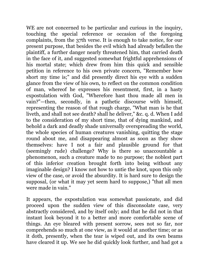WE are not concerned to be particular and curious in the inquiry, touching the special reference or occasion of the foregoing complaints, from the 37th verse. It is enough to take notice, for our present purpose, that besides the evil which had already befallen the plaintiff, a further danger nearly threatened him, that carried death in the face of it, and suggested somewhat frightful apprehensions of his mortal state; which drew from him this quick and sensible petition in reference to his own private concern, "Remember how short my time is;" and did presently direct his eye with a sudden glance from the view of his own, to reflect on the common condition of man, whereof he expresses his resentment, first, in a hasty expostulation with God, "Wherefore hast thou made all men in vain?"—then, secondly, in a pathetic discourse with himself, representing the reason of that rough charge, "What man is he that liveth, and shall not see death? shall he deliver," &c. q. d. When I add to the consideration of my short time, that of dying mankind, and behold a dark and deadly shade universally overspreading the world, the whole species of human creatures vanishing, quitting the stage round about me, and disappearing almost as soon as they show themselves: have I not a fair and plausible ground for that (seemingly rude) challenge? Why is there so unaccountable a phenomenon, such a creature made to no purpose; the noblest part of this inferior creation brought forth into being without any imaginable design? I know not how to untie the knot, upon this only view of the case, or avoid the absurdity. It is hard sure to design the supposal, (or what it may yet seem hard to suppose,) "that all men were made in vain."

It appears, the expostulation was somewhat passionate, and did proceed upon the sudden view of this disconsolate case, very abstractly considered, and by itself only; and that he did not in that instant look beyond it to a better and more comfortable scene of things. An eye bleared with present sorrow, sees not so far, nor comprehends so much at one view, as it would at another time; or as it doth, presently, when the tear is wiped out, and its own beams have cleared it up. We see he did quickly look further, and had got a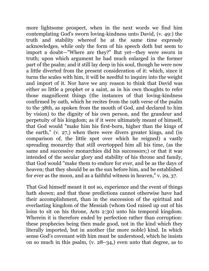more lightsome prospect, when in the next words we find him contemplating God's sworn loving-kindness unto David, (v. 49:) the truth and stability whereof he at the same time expressly acknowledges, while only the form of his speech doth but seem to import a doubt—"Where are they?" But yet—they were sworn in truth; upon which argument he had much enlarged in the former part of the psalm; and it still lay deep in his soul, though he were now a little diverted from the present consideration of it: which, since it turns the scales with him, it will be needful to inquire into the weight and import of it. Nor have we any reason to think that David was either so little a prophet or a saint, as in his own thoughts to refer those magnificent things (the instances of that loving-kindness confirmed by oath, which he recites from the 19th verse of the psalm to the 38th, as spoken from the mouth of God, and declared to him by vision) to the dignity of his own person, and the grandeur and perpetuity of his kingdom; as if it were ultimately meant of himself, that God would "make him his first-born, higher than the kings of the earth," (v. 27,) when there were divers greater kings, and (in comparison of, the little spot over which he reigned) a vastly spreading monarchy that still overtopped him all his time, (as the same and successive monarchies did his successors;) or that it was intended of the secular glory and stability of his throne and family, that God would "make them to endure for ever, and be as the days of heaven; that they should be as the sun before him, and be established for ever as the moon, and as a faithful witness in heaven," v. 29, 37.

That God himself meant it not so, experience and the event of things hath shown; and that these predictions cannot otherwise have had their accomplishment, than in the succession of the spiritual and everlasting kingdom of the Messiah (whom God raised up out of his loins to sit on his throne, Acts 2:30) unto his temporal kingdom. Wherein it is therefore ended by perfection rather than corruption: these prophecies being then made good, not in the kind which they literally imported, but in another (far more noble) kind. In which sense God's covenant with him must be understood, which he insists on so much in this psalm, (v. 28–34,) even unto that degree, as to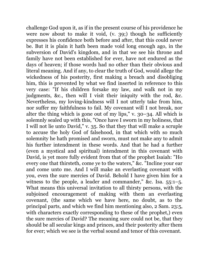challenge God upon it, as if in the present course of his providence he were now about to make it void, (v. 39;) though he sufficiently expresses his confidence both before and after, that this could never be. But it is plain it hath been made void long enough ago, in the subversion of David's kingdom, and in that we see his throne and family have not been established for ever, have not endured as the days of heaven; if those words had no other than their obvious and literal meaning. And if any, to clear the truth of God, would allege the wickedness of his posterity, first making a breach and disobliging him, this is prevented by what we find inserted in reference to this very case: "If his children forsake my law, and walk not in my judgments, &c., then will I visit their iniquity with the rod, &c. Nevertheless, my loving-kindness will I not utterly take from him, nor suffer my faithfulness to fail. My covenant will I not break, nor alter the thing which is gone out of my lips," v. 30–34. All which is solemnly sealed up with this, "Once have I sworn in my holiness, that I will not lie unto David," v. 35. So that they that will make a scruple to accuse the holy God of falsehood, in that which with so much solemnity he hath promised and sworn, must not make any to admit his further intendment in these words. And that he had a further (even a mystical and spiritual) intendment in this covenant with David, is yet more fully evident from that of the prophet Isaiah: "Ho every one that thirsteth, come ye to the waters," &c. "Incline your ear and come unto me. And I will make an everlasting covenant with you, even the sure mercies of David. Behold I have given him for a witness to the people, a leader and commander," &c. Isa. 55:1–5. What means this universal invitation to all thirsty persons, with the subjoined encouragement of making with them an everlasting covenant, (the same which we have here, no doubt, as to the principal parts, and which we find him mentioning also, 2 Sam. 23:5, with characters exactly corresponding to these of the prophet,) even the sure mercies of David? The meaning sure could not be, that they should be all secular kings and princes, and their posterity after them for ever; which we see is the verbal sound and tenor of this covenant.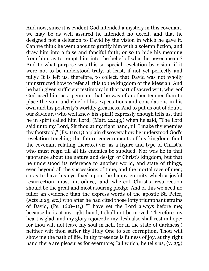And now, since it is evident God intended a mystery in this covenant, we may be as well assured he intended no deceit, and that he designed not a delusion to David by the vision in which he gave it. Can we think he went about to gratify him with a solemn fiction, and draw him into a false and fanciful faith; or so to hide his meaning from him, as to tempt him into the belief of what he never meant? And to what purpose was this so special revelation by vision, if it were not to be understood truly, at least, if not yet perfectly and fully? It is left us, therefore, to collect, that David was not wholly uninstructed how to refer all this to the kingdom of the Messiah. And he hath given sufficient testimony in that part of sacred writ, whereof God used him as a penman, that he was of another temper than to place the sum and chief of his expectations and consolations in his own and his posterity's worldly greatness. And to put us out of doubt, our Saviour, (who well knew his spirit) expressly enough tells us, that he in spirit called him Lord, (Matt. 22:43,) when he said, "The Lord said unto my Lord, Sit thou at my right hand, till I make thy enemies thy footstool," (Ps. 110:1;) a plain discovery how he understood God's revelation touching the future concernments of his kingdom, (and the covenant relating thereto,) viz. as a figure and type of Christ's, who must reign till all his enemies be subdued. Nor was he in that ignorance about the nature and design of Christ's kingdom, but that he understood its reference to another world, and state of things, even beyond all the successions of time, and the mortal race of men; so as to have his eye fixed upon the happy eternity which a joyful resurrection must introduce, and whereof Christ's resurrection should be the great and most assuring pledge. And of this we need no fuller an evidence than the express words of the apostle St. Peter, (Acts 2:25, &c.) who after he had cited those lofty triumphant strains of David, (Ps. 16:8–11,) "I have set the Lord always before me; because he is at my right hand, I shall not be moved. Therefore my heart is glad, and my glory rejoiceth; my flesh also shall rest in hope; for thou wilt not leave my soul in hell, (or in the state of darkness,) neither wilt thou suffer thy Holy One to see corruption. Thou wilt show me the path of life. In thy presence is fulness of joy, at thy right hand there are pleasures for evermore; "all which, he tells us, (v. 25,)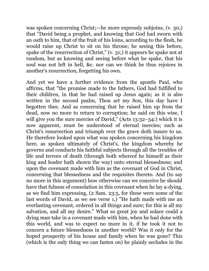was spoken concerning Christ;—he more expressly subjoins, (v. 30,) that "David being a prophet, and knowing that God had sworn with an oath to him, that of the fruit of his loins, according to the flesh, he would raise up Christ to sit on his throne; he seeing this before, spake of the resurrection of Christ," (v. 31;) it appears he spake not at random, but as knowing and seeing before what he spake, that his soul was not left in hell, &c. nor can we think he thus rejoices in another's resurrection, forgetting his own.

And yet we have a further evidence from the apostle Paul, who affirms, that "the promise made to the fathers, God had fulfilled to their children, in that he had raised up Jesus again; as it is also written in the second psalm, Thou art my Son, this day have I begotten thee. And as concerning that he raised him up from the dead, now no more to return to corruption; he said on this wise, I will give you the sure mercies of David," (Acts 13:32–34:) which it is now apparent, must be understood of eternal mercies; such as Christ's resurrection and triumph over the grave doth insure to us. He therefore looked upon what was spoken concerning his kingdom here, as spoken ultimately of Christ's, the kingdom whereby he governs and conducts his faithful subjects through all the troubles of life and terrors of death (through both whereof he himself as their king and leader hath shown the way) unto eternal blessedness; and upon the covenant made with him as the covenant of God in Christ, concerning that blessedness and the requisites thereto. And (to say no more in this argument) how otherwise can we conceive he should have that fulness of consolation in this covenant when he lay a-dying, as we find him expressing, (2 Sam. 23:5, for these were some of the last words of David, as we see verse 1,) "He hath made with me an everlasting covenant, ordered in all things and sure; for this is all my salvation, and all my desire." What so great joy and solace could a dying man take in a covenant made with him, when he had done with this world, and was to expect no more in it, if he took it not to concern a future blessedness in another world? Was it only for the hoped prosperity of his house and family when he was gone? This (which is the only thing we can fasten on) he plainly secludes in the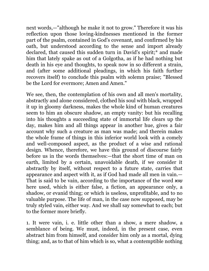next words,—"although he make it not to grow." Therefore it was his reflection upon those loving-kindnesses mentioned in the former part of the psalm, contained in God's covenant, and confirmed by his oath, but understood according to the sense and import already declared, that caused this sudden turn in David's spirit;\* and made him that lately spake as out of a Golgotha, as if he had nothing but death in his eye and thoughts, to speak now in so different a strain, and (after some additional pleadings, in which his faith further recovers itself) to conclude this psalm with solemn praise; "Blessed be the Lord for evermore; Amen and Amen."

We see, then, the contemplation of his own and all men's mortality, abstractly and alone considered, clothed his soul with black, wrapped it up in gloomy darkness, makes the whole kind of human creatures seem to him an obscure shadow, an empty vanity: but his recalling into his thoughts a succeeding state of immortal life clears up the day, makes him and all things appear in another hue, gives a fair account why such a creature as man was made; and therein makes the whole frame of things in this inferior world look with a comely and well-composed aspect, as the product of a wise and rational design. Whence, therefore, we have this ground of discourse fairly before us in the words themselves:—that the short time of man on earth, limited by a certain, unavoidable death, if we consider it abstractly by itself, without respect to a future state, carries that appearance and aspect with it, as if God had made all men in vain.— That is said to be vain, according to the importance of the word שוא here used, which is either false, a fiction, an appearance only, a shadow, or evanid thing; or which is useless, unprofitable, and to no valuable purpose. The life of man, in the case now supposed, may be truly styled vain, either way. And we shall say somewhat to each; but to the former more briefly.

1. It were vain, i. e. little other than a show, a mere shadow, a semblance of being. We must, indeed, in the present case, even abstract him from himself, and consider him only as a mortal, dying thing; and, as to that of him which is so, what a contemptible nothing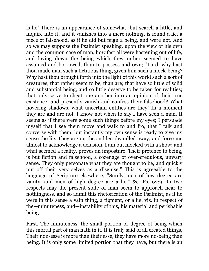is he! There is an appearance of somewhat; but search a little, and inquire into it, and it vanishes into a mere nothing, is found a lie, a piece of falsehood, as if he did but feign a being, and were not. And so we may suppose the Psalmist speaking, upon the view of his own and the common case of man, how fast all were hastening out of life, and laying down the being which they rather seemed to have assumed and borrowed, than to possess and own; "Lord, why hast thou made man such a fictitious thing, given him such a mock-being? Why hast thou brought forth into the light of this world such a sort of creatures, that rather seem to be, than are; that have so little of solid and substantial being, and so little deserve to be taken for realities; that only serve to cheat one another into an opinion of their true existence, and presently vanish and confess their falsehood? What hovering shadows, what uncertain entities are they! In a moment they are and are not. I know not when to say I have seen a man. It seems as if there were some such things before my eyes; I persuade myself that I see them move and walk to and fro, that I talk and converse with them; but instantly my own sense is ready to give my sense the lie. They are on the sudden dwindled away, and force me almost to acknowledge a delusion. I am but mocked with a show; and what seemed a reality, proves an imposture. Their pretence to being, is but fiction and falsehood, a cozenage of over-credulous, unwary sense. They only personate what they are thought to be, and quickly put off their very selves as a disguise." This is agreeable to the language of Scripture elsewhere, "Surely men of low degree are vanity, and men of high degree are a lie," &c. Ps. 62:9. In two respects may the present state of man seem to approach near to nothingness, and so admit this rhetorication of the Psalmist, as if he were in this sense a vain thing, a figment, or a lie, viz. in respect of the—minuteness, and—instability of this, his material and perishable being.

First. The minuteness, the small portion or degree of being which this mortal part of man hath in it. It is truly said of all created things, Their non-esse is more than their esse, they have more no-being than being. It is only some limited portion that they have, but there is an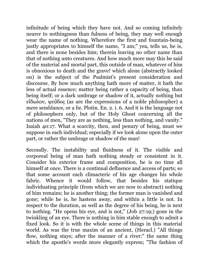infinitude of being which they have not. And so coming infinitely nearer to nothingness than fulness of being, they may well enough wear the name of nothing. Wherefore the first and fountain-being justly appropriates to himself the name, "I am;" yea, tells us, he is, and there is none besides him; therein leaving no other name than that of nothing unto creatures. And how much more may this be said of the material and mortal part, this outside of man, whatever of him is obnoxious to death and the grave! which alone (abstractly looked on) is the subject of the Psalmist's present consideration and discourse. By how much anything hath more of matter, it hath the less of actual essence; matter being rather a capacity of being, than being itself; or a dark umbrage or shadow of it, actually nothing but εἴδωλον, ψεῦδος (as are the expressions of a noble philosopher) a mere semblance, or a lie. Plotin. En. 2. i. 6. And it is the language not of philosophers only, but of the Holy Ghost concerning all the nations of men, "They are as nothing, less than nothing, and vanity." Isaiah 40:17. What a scarcity, then, and penury of being, must we suppose in each individual; especially if we look alone upon the outer part, or rather the umbrage or shadow of the man!

Secondly. The instability and fluidness of it. The visible and corporeal being of man hath nothing steady or consistent in it. Consider his exterior frame and composition, he is no time all himself at once. There is a continual defluence and access of parts; so that some account each climacteric of his age changes his whole fabric. Whence it would follow, that besides his statique individuating principle (from which we are now to abstract) nothing of him remains; he is another thing; the former man is vanished and gone; while he is, he hastens away, and within a little is not. In respect to the duration, as well as the degree of his being, he is next to nothing. "He opens his eye, and is not," (Job 27:19;) gone in the twinkling of an eye. There is nothing in him stable enough to admit a fixed look. So it is with the whole scene of things in this material world. As was the true maxim of an ancient, (Heracl.) "All things flow, nothing stays; after the manner of a river:" the same thing which the apostle's words more elegantly express; "The fashion of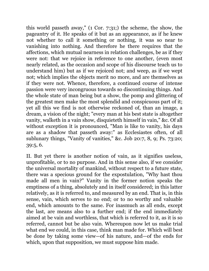this world passeth away," (1 Cor. 7:31;) the scheme, the show, the pageantry of it. He speaks of it but as an appearance, as if he knew not whether to call it something or nothing, it was so near to vanishing into nothing. And therefore he there requires that the affections, which mutual nearness in relation challenges, be as if they were not: that we rejoice in reference to one another, (even most nearly related, as the occasion and scope of his discourse teach us to understand him) but as if we rejoiced not; and weep, as if we wept not; which implies the objects merit no more, and are themselves as if they were not. Whence, therefore, a continued course of intense passion were very incongruous towards so discontinuing things. And the whole state of man being but a show, the pomp and glittering of the greatest men make the most splendid and conspicuous part of it; yet all this we find is not otherwise reckoned of, than an image, a dream, a vision of the night; "every man at his best state is altogether vanity, walketh in a vain show, disquieteth himself in vain," &c. Of all without exception it is pronounced, "Man is like to vanity, his days are as a shadow that passeth away:" as Ecclesiastes often, of all sublunary things, "Vanity of vanities," &c. Job 20:7, 8, 9; Ps. 73:20; 39:5, 6.

II. But yet there is another notion of vain, as it signifies useless, unprofitable, or to no purpose. And in this sense also, if we consider the universal mortality of mankind, without respect to a future state, there was a specious ground for the expostulation, "Why hast thou made all men in vain?" Vanity in the former notion speaks the emptiness of a thing, absolutely and in itself considered; in this latter relatively, as it is referred to, and measured by an end. That is, in this sense, vain, which serves to no end; or to no worthy and valuable end, which amounts to the same. For inasmuch as all ends, except the last, are means also to a further end; if the end immediately aimed at be vain and worthless, that which is referred to it, as it is so referred, cannot but be also vain. Whereupon now let us make trial what end we could, in this case, think man made for. Which will best be done by taking some view—of his nature, and—of the ends for which, upon that supposition, we must suppose him made.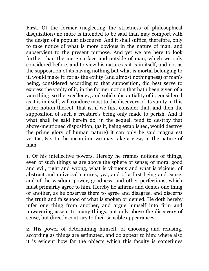First. Of the former (neglecting the strictness of philosophical disquisition) no more is intended to be said than may comport with the design of a popular discourse. And it shall suffice, therefore, only to take notice of what is more obvious in the nature of man, and subservient to the present purpose. And yet we are here to look further than the mere surface and outside of man, which we only considered before, and to view his nature as it is in itself, and not as the supposition of its having nothing but what is mortal belonging to it, would make it: for as the exility (and almost nothingness) of man's being, considered according to that supposition, did best serve to express the vanity of it, in the former notion that hath been given of a vain thing; so the excellency, and solid substantiality of it, considered as it is in itself, will conduce most to the discovery of its vanity in this latter notion thereof; that is, if we first consider that, and then the supposition of such a creature's being only made to perish. And if what shall be said herein do, in the sequel, tend to destroy that above-mentioned disposition, (as it, being established, would destroy the prime glory of human nature) it can only be said magna est veritas, &c. In the meantime we may take a view, in the nature of man—

1. Of his intellective powers. Hereby he frames notions of things, even of such things as are above the sphere of sense; of moral good and evil, right and wrong, what is virtuous and what is vicious; of abstract and universal natures; yea, and of a first being and cause, and of the wisdom, power, goodness, and other perfections, which must primarily agree to him. Hereby he affirms and denies one thing of another, as he observes them to agree and disagree, and discerns the truth and falsehood of what is spoken or denied. He doth hereby infer one thing from another, and argue himself into firm and unwavering assent to many things, not only above the discovery of sense, but directly contrary to their sensible appearances.

2. His power of determining himself, of choosing and refusing, according as things are estimated, and do appear to him: where also it is evident how far the objects which this faculty is sometimes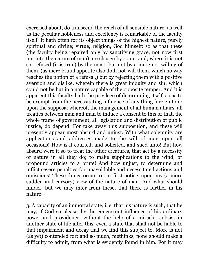exercised about, do transcend the reach of all sensible nature; as well as the peculiar nobleness and excellency is remarkable of the faculty itself. It hath often for its object things of the highest nature, purely spiritual and divine; virtue, religion, God himself: so as that these (the faculty being repaired only by sanctifying grace, not now first put into the nature of man) are chosen by some, and, where it is not so, refused (it is true) by the most; but not by a mere not-willing of them, (as mere brutal appetite also doth not-will them, which no way reaches the notion of a refusal,) but by rejecting them with a positive aversion and dislike, wherein there is great iniquity and sin; which could not be but in a nature capable of the opposite temper. And it is apparent this faculty hath the privilege of determining itself, so as to be exempt from the necessitating influence of any thing foreign to it: upon the supposal whereof, the management of all human affairs, all treaties between man and man to induce a consent to this or that, the whole frame of government, all legislation and distribution of public justice, do depend. For take away this supposition, and these will presently appear most absurd and unjust. With what solemnity are applications and addresses made to the will of man upon all occasions! How is it courted, and solicited, and sued unto! But how absurd were it so to treat the other creatures, that act by a necessity of nature in all they do; to make supplications to the wind, or propound articles to a brute! And how unjust, to determine and inflict severe penalties for unavoidable and necessitated actions and omissions! These things occur to our first notice, upon any (a more sudden and cursory) view of the nature of man. And what should hinder, but we may infer from these, that there is further in his nature—

3. A capacity of an immortal state, i. e. that his nature is such, that he may, if God so please, by the concurrent influence of his ordinary power and providence, without the help of a miracle, subsist in another state of life after this, even a state that shall not be liable to that impairment and decay that we find this subject to. More is not (as yet) contended for; and so much, methinks, none should make a difficulty to admit, from what is evidently found in him. For it may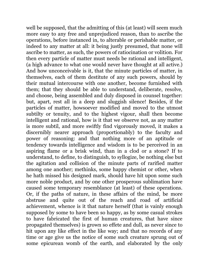well be supposed, that the admitting of this (at least) will seem much more easy to any free and unprejudiced reason, than to ascribe the operations, before instanced in, to alterable or perishable matter, or indeed to any matter at all: it being justly presumed, that none will ascribe to matter, as such, the powers of ratiocination or volition. For then every particle of matter must needs be rational and intelligent, (a high advance to what one would never have thought at all active.) And how unconceivable is it, that the minute particles of matter, in themselves, each of them destitute of any such powers, should by their mutual intercourse with one another, become furnished with them; that they should be able to understand, deliberate, resolve, and choose, being assembled and duly disposed in counsel together: but, apart, rest all in a deep and sluggish silence! Besides, if the particles of matter, howsoever modified and moved to the utmost subtilty or tenuity, and to the highest vigour, shall then become intelligent and rational, how is it that we observe not, as any matter is more subtil, and more swiftly find vigorously moved, it makes a discernibly nearer approach (proportionably) to the faculty and power of reasoning: and that nothing more of an aptitude or tendency towards intelligence and wisdom is to be perceived in an aspiring flame or a brisk wind, than in a clod or a stone? If to understand, to define, to distinguish, to syllogize, be nothing else but the agitation and collision of the minute parts of rarified matter among one another; methinks, some happy chemist or other, when he hath missed his designed mark, should have hit upon some such more noble product, and by one other prosperous sublimation have caused some temporary resemblance (at least) of these operations. Or, if the paths of nature, in these affairs of the mind, be more abstruse and quite out of the reach and road of artificial achievement, whence is it that nature herself (that is vainly enough supposed by some to have been so happy, as by some casual strokes to have fabricated the first of human creatures, that have since propagated themselves) is grown so effete and dull, as never since to hit upon any like effect in the like way; and that no records of any time or age give us the notice of some such creature sprung out of some epicurean womb of the earth, and elaborated by the only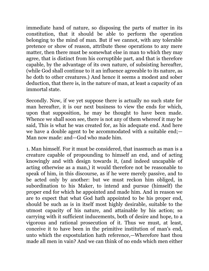immediate hand of nature, so disposing the parts of matter in its constitution, that it should be able to perform the operation belonging to the mind of man. But if we cannot, with any tolerable pretence or show of reason, attribute these operations to any mere matter, then there must be somewhat else in man to which they may agree, that is distinct from his corruptible part, and that is therefore capable, by the advantage of its own nature, of subsisting hereafter, (while God shall continue to it an influence agreeable to its nature, as he doth to other creatures.) And hence it seems a modest and sober deduction, that there is, in the nature of man, at least a capacity of an immortal state.

Secondly. Now, if we yet suppose there is actually no such state for man hereafter, it is our next business to view the ends for which, upon that supposition, he may be thought to have been made. Whence we shall soon see, there is not any of them whereof it may be said, This is what he was created for, as his adequate end. And here we have a double agent to be accommodated with a suitable end;— Man now made: and—God who made him.

1. Man himself. For it must be considered, that inasmuch as man is a creature capable of propounding to himself an end, and of acting knowingly and with design towards it, (and indeed uncapable of acting otherwise as a man,) it would therefore not be reasonable to speak of him, in this discourse, as if he were merely passive, and to be acted only by another: but we must reckon him obliged, in subordination to his Maker, to intend and pursue (himself) the proper end for which he appointed and made him. And in reason we are to expect that what God hath appointed to be his proper end, should be such as is in itself most highly desirable, suitable to the utmost capacity of his nature, and attainable by his action; so carrying with it sufficient inducements, both of desire and hope, to a vigorous and rational prosecution of it. Thus we must, at least, conceive it to have been in the primitive institution of man's end, unto which the expostulation hath reference,—Wherefore hast thou made all men in vain? And we can think of no ends which men either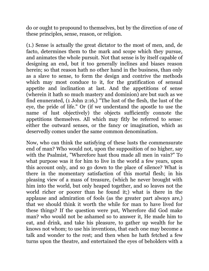do or ought to propound to themselves, but by the direction of one of these principles, sense, reason, or religion.

(1.) Sense is actually the great dictator to the most of men, and, de facto, determines them to the mark and scope which they pursue, and animates the whole pursuit. Not that sense is by itself capable of designing an end, but it too generally inclines and biases reason herein; so that reason hath no other hand in the business, than only as a slave to sense, to form the design and contrive the methods which may most conduce to it, for the gratification of sensual appetite and inclination at last. And the appetitions of sense (wherein it hath so much mastery and dominion) are but such as we find enunerated, (1 John 2:16,) "The lust of the flesh, the lust of the eye, the pride of life." Or (if we understand the apostle to use the name of lust objectively) the objects sufficiently connote the appetitions themselves. All which may fitly be referred to sense: either the outward senses, or the fancy or imagination, which as deservedly comes under the same common denomination.

Now, who can think the satisfying of these lusts the commensurate end of man? Who would not, upon the supposition of no higher, say with the Psalmist, "Wherefore hast thou made all men in vain?" To what purpose was it for him to live in the world a few years, upon this account only, and so go down to the place of silence? What is there in the momentary satisfaction of this mortal flesh; in his pleasing view of a mass of treasure, (which he never brought with him into the world, but only heaped together, and so leaves not the world richer or poorer than he found it;) what is there in the applause and admiration of fools (as the greater part always are,) that we should think it worth the while for man to have lived for these things? If the question were put, Wherefore did God make man? who would not be ashamed so to answer it, He made him to eat, and drink, and take his pleasure, to gather up wealth for he knows not whom; to use his inventions, that each one may become a talk and wonder to the rest; and then when he hath fetched a few turns upon the theatre, and entertained the eyes of beholders with a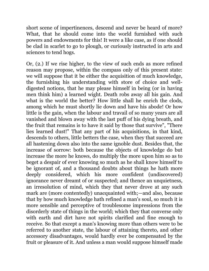short scene of impertinences, descend and never be heard of more? What, that he should come into the world furnished with such powers and endowments for this! It were a like case, as if one should be clad in scarlet to go to plough, or curiously instructed in arts and sciences to tend hogs.

Or, (2.) If we rise higher, to the view of such ends as more refined reason may propose, within the compass only of this present state: we will suppose that it be either the acquisition of much knowledge, the furnishing his understanding with store of choice and welldigested notions, that he may please himself in being (or in having men think him) a learned wight. Death robs away all his gain. And what is the world the better? How little shall he enrich the clods, among which he must shortly lie down and have his abode! Or how little is the gain, when the labour and travail of so many years are all vanished and blown away with the last puff of his dying breath, and the fruit that remains is to have it said by those that survive", "There lies learned dust!" That any part of his acquisitions, in that kind, descends to others, little betters the case, when they that succeed are all hastening down also into the same ignoble dust. Besides that, the increase of sorrow: both because the objects of knowledge do but increase the more he knows, do multiply the more upon him so as to beget a despair of ever knowing so much as he shall know himself to be ignorant of, and a thousand doubts about things he hath more deeply considered, which his more confident (undiscovered) ignorance never dreamt of or suspected; and thence an unquietness, an irresolution of mind, which they that never drove at any such mark are (more contentedly) unacquainted with;—and also, because that by how much knowledge hath refined a man's soul, so much it is more sensible and perceptive of troublesome impressions from the disorderly state of things in the world; which they that converse only with earth and dirt have not spirits clarified and fine enough to receive. So that except a man's knowing more than others were to be referred to another state, the labour of attaining thereto, and other accessory disadvantages, would hardly ever be compensated by the fruit or pleasure of it. And unless a man would suppose himself made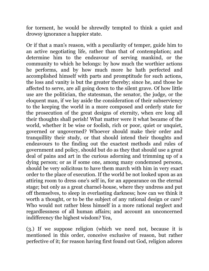for torment, he would be shrewdly tempted to think a quiet and drowsy ignorance a happier state.

Or if that a man's reason, with a peculiarity of temper, guide him to an active negotiating life, rather than that of contemplation; and determine him to the endeavour of serving mankind, or the community to which he belongs: by how much the worthier actions he performs, and by how much more he hath perfected and accomplished himself with parts and promptitude for such actions, the loss and vanity is but the greater thereby; since he, and those he affected to serve, are all going down to the silent grave. Of how little use are the politician, the statesman, the senator, the judge, or the eloquent man, if we lay aside the consideration of their subserviency to the keeping the world in a more composed and orderly state for the prosecution of the great designs of eternity, when ere long all their thoughts shall perish! What matter were it what became of the world, whether it be wise or foolish, rich or poor, quiet or unquiet, governed or ungoverned? Whoever should make their order and tranquillity their study, or that should intend their thoughts and endeavours to the finding out the exactest methods and rules of government and policy, should but do as they that should use a great deal of pains and art in the curious adorning and trimming up of a dying person; or as if some one, among many condemned persons, should be very solicitous to have them march with him in very exact order to the place of execution. If the world be not looked upon as an attiring room to dress one's self in, for an appearance on the eternal stage; but only as a great charnel-house, where they undress and put off themselves, to sleep in everlasting darkness; how can we think it worth a thought, or to be the subject of any rational design or care? Who would not rather bless himself in a more rational neglect and regardlessness of all human affairs; and account an unconcerned indifferency the highest wisdom? Yea,

(3.) If we suppose religion (which we need not, because it is mentioned in this order, conceive exclusive of reason, but rather perfective of it; for reason having first found out God, religion adores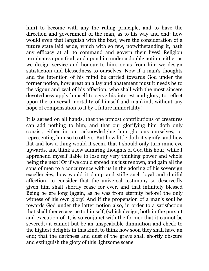him) to become with any the ruling principle, and to have the direction and government of the man, as to his way and end: how would even that languish with the best, were the consideration of a future state laid aside, which with so few, notwithstanding it, hath any efficacy at all to command and govern their lives! Religion terminates upon God; and upon him under a double notion; either as we design service and honour to him, or as from him we design satisfaction and blessedness to ourselves. Now if a man's thoughts and the intention of his mind be carried towards God under the former notion, how great an allay and abatement must it needs be to the vigour and zeal of his affection, who shall with the most sincere devotedness apply himself to serve his interest and glory, to reflect upon the universal mortality of himself and mankind, without any hope of compensation to it by a future immortality!

It is agreed on all hands, that the utmost contributions of creatures can add nothing to him; and that our glorifying him doth only consist, either in our acknowledging him glorious ourselves, or representing him so to others. But how little doth it signify, and how flat and low a thing would it seem, that I should only turn mine eye upwards, and think a few admiring thoughts of God this hour, while I apprehend myself liable to lose my very thinking power and whole being the next! Or if we could spread his just renown, and gain all the sons of men to a concurrence with us in the adoring of his sovereign excellencies, how would it damp and stifle such loyal and dutiful affection, to consider that the universal testimony so deservedly given him shall shortly cease for ever, and that infinitely blessed Being be ere long (again, as he was from eternity before) the only witness of his own glory! And if the propension of a man's soul be towards God under the latter notion also, in order to a satisfaction that shall thence accrue to himself, (which design, both in the pursuit and execution of it, is so conjunct with the former that it cannot be severed,) it cannot but be an unspeakable diminution and check to the highest delights in this kind, to think how soon they shall have an end; that the darkness and dust of the grave shall shortly obscure and extinguish the glory of this lightsome scene.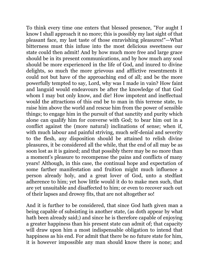To think every time one enters that blessed presence, "For aught I know I shall approach it no more; this is possibly my last sight of that pleasant face, my last taste of those enravishing pleasures!"—What bitterness must this infuse into the most delicious sweetness our state could then admit! And by how much more free and large grace should be in its present communications, and by how much any soul should be more experienced in the life of God, and inured to divine delights, so much the more grievous and afflictive resentments it could not but have of the approaching end of all; and be the more powerfully tempted to say, Lord, why was I made in vain? How faint and languid would endeavours be after the knowledge of that God whom I may but only know, and die! How impotent and ineffectual would the attractions of this end be to man in this terrene state, to raise him above the world and rescue him from the power of sensible things; to engage him in the pursuit of that sanctity and purity which alone can qualify him for converse with God; to bear him out in a conflict against the (more natural) inclinations of sense; when if, with much labour and painful striving, much self-denial and severity to the flesh, any disposition should be attained to relish divine pleasures, it be considered all the while, that the end of all may be as soon lost as it is gained; and that possibly there may be no more than a moment's pleasure to recompense the pains and conflicts of many years! Although, in this case, the continual hope and expectation of some farther manifestation and fruition might much influence a person already holy, and a great lover of God, unto a stedfast adherence to him; yet how little would it do to make men such, that are yet unsuitable and disaffected to him; or even to recover such out of their lapses and drowsy fits, that are not altogether so!

And it is further to be considered, that since God hath given man a being capable of subsisting in another state, (as doth appear by what hath been already said;) and since he is therefore capable of enjoying a greater happiness than his present state can admit of; that capacity will draw upon him a most indispensable obligation to intend that happiness as his end. For admit that there be no future state for him, it is however impossible any man should know there is none; and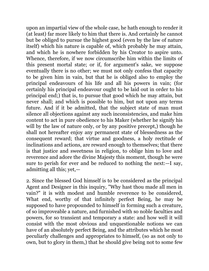upon an impartial view of the whole case, he hath enough to render it (at least) far more likely to him that there is. And certainly he cannot but be obliged to pursue the highest good (even by the law of nature itself) which his nature is capable of, which probably he may attain, and which he is nowhere forbidden by his Creator to aspire unto. Whence, therefore, if we now circumscribe him within the limits of this present mortal state; or if, for argument's sake, we suppose eventually there is no other; we must not only confess that capacity to be given him in vain, but that he is obliged also to employ the principal endeavours of his life and all his powers in vain; (for certainly his principal endeavour ought to be laid out in order to his principal end;) that is, to pursue that good which he may attain, but never shall; and which is possible to him, but not upon any terms future. And if it be admitted, that the subject state of man must silence all objections against any such inconsistencies, and make him content to act in pure obedience to his Maker (whether he signify his will by the law of nature only, or by any positive precept, though he shall not hereafter enjoy any permanent state of blessedness as the consequent reward; that virtue and goodness, a holy rectitude of inclinations and actions, are reward enough to themselves; that there is that justice and sweetness in religion, to oblige him to love and reverence and adore the divine Majesty this moment, though he were sure to perish for ever and be reduced to nothing the next:—I say, admitting all this; yet,—

2. Since the blessed God himself is to be considered as the principal Agent and Designer in this inquiry, "Why hast thou made all men in vain?" it is with modest and humble reverence to be considered, What end, worthy of that infinitely perfect Being, he may be supposed to have propounded to himself in forming such a creature, of so improveable a nature, and furnished with so noble faculties and powers, for so transient and temporary a state: and how well it will consist with the most obvious and unquestionable notions we can have of an absolutely perfect Being, and the attributes which he most peculiarly challenges and appropriates to himself, (so as not only to own, but to glory in them,) that he should give being not to some few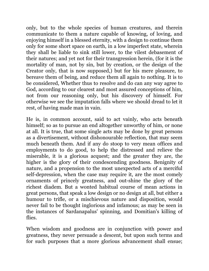only, but to the whole species of human creatures, and therein communicate to them a nature capable of knowing, of loving, and enjoying himself in a blessed eternity, with a design to continue them only for some short space on earth, in a low imperfect state, wherein they shall be liable to sink still lower, to the vilest debasement of their natures; and yet not for their transgression herein, (for it is the mortality of man, not by sin, but by creation, or the design of the Creator only, that is now supposed,) but for his mere pleasure, to bereave them of being, and reduce them all again to nothing. It is to be considered, Whether thus to resolve and do can any way agree to God, according to our clearest and most assured conceptions of him, not from our reasoning only, but his discovery of himself. For otherwise we see the imputation falls where we should dread to let it rest, of having made man in vain.

He is, in common account, said to act vainly, who acts beneath himself; so as to pursue an end altogether unworthy of him, or none at all. It is true, that some single acts may be done by great persons as a divertisement, without dishonourable reflection, that may seem much beneath them. And if any do stoop to very mean offices and employments to do good, to help the distressed and relieve the miserable, it is a glorious acquest; and the greater they are, the higher is the glory of their condescending goodness. Benignity of nature, and a propension to the most unexpected acts of a merciful self-depression, when the case may require it, are the most comely ornaments of princely greatness, and out-shine the glory of the richest diadem. But a wonted habitual course of mean actions in great persons, that speak a low design or no design at all, but either a humour to trifle, or a mischievous nature and disposition, would never fail to be thought inglorious and infamous; as may be seen in the instances of Sardanapalus' spinning, and Domitian's killing of flies.

When wisdom and goodness are in conjunction with power and greatness, they never persuade a descent, but upon such terms and for such purposes that a more glorious advancement shall ensue;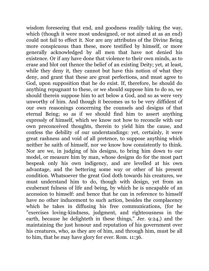wisdom foreseeing that end, and goodness readily taking the way, which (though it were most undesigned, or not aimed at as an end) could not fail to effect it. Nor are any attributes of the Divine Being more conspicuous than these, more testified by himself, or more generally acknowledged by all men that have not denied his existence. Or if any have done that violence to their own minds, as to erase and blot out thence the belief of an existing Deity; yet, at least, while they deny it, they cannot but have this notion of what they deny, and grant that these are great perfections, and must agree to God, upon supposition that he do exist. If, therefore, he should do anything repugnant to these, or we should suppose him to do so, we should therein suppose him to act below a God, and so as were very unworthy of him. And though it becomes us to be very diffident of our own reasonings concerning the counsels and designs of that eternal Being; so as if we should find him to assert anything expressly of himself, which we know not how to reconcile with our own preconceived thoughts, therein to yield him the cause, and confess the debility of our understandings: yet, certainly, it were great rashness and void of all pretence, to suppose anything which neither he saith of himself, nor we know how consistently to think. Nor are we, in judging of his designs, to bring him down to our model, or measure him by man, whose designs do for the most part bespeak only his own indigency, and are levelled at his own advantage, and the bettering some way or other of his present condition. Whatsoever the great God doth towards his creatures, we must understand him to do, though with design, yet from an exuberant fulness of life and being, by which he is uncapable of an accession to himself: and hence that he can in reference to himself have no other inducement to such action, besides the complacency which he takes in diffusing his free communications, (for he "exercises loving-kindness, judgment, and righteousness in the earth, because he delighteth in these things," Jer. 9:24,) and the maintaining the just honour and reputation of his government over his creatures, who, as they are of him, and through him, must be all to him, that he may have glory for ever. Rom. 11:36.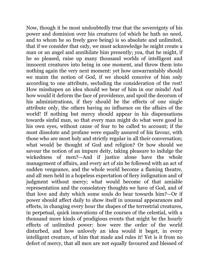Now, though it be most undoubtedly true that the sovereignty of his power and dominion over his creatures (of which he hath no need, and to whom he so freely gave being) is so absolute and unlimited, that if we consider that only, we must acknowledge he might create a man or an angel and annihilate him presently; yea, that he might, if he so pleased, raise up many thousand worlds of intelligent and innocent creatures into being in one moment, and throw them into nothing again the very next moment: yet how unwarrantably should we maim the notion of God, if we should conceive of him only according to one attribute, secluding the consideration of the rest! How misshapen an idea should we bear of him in our minds! And how would it deform the face of providence, and spoil the decorum of his administrations, if they should be the effects of one single attribute only, the others having no influence on the affairs of the world! If nothing but mercy should appear in his dispensations towards sinful man, so that every man might do what were good in his own eyes, without cause of fear to be called to account; if the most dissolute and profane were equally assured of his favour, with those who are most holy and strictly regular in all their conversation; what would be thought of God and religion? Or how should we savour the notion of an impure deity, taking pleasure to indulge the wickedness of men?—And if justice alone have the whole management of affairs, and every act of sin be followed with an act of sudden vengeance, and the whole world become a flaming theatre, and all men held in a hopeless expectation of fiery indignation and of judgment without mercy; what would become of that amiable representation and the consolatory thoughts we have of God, and of that love and duty which some souls do bear towards him?—Or if power should affect daily to show itself in unusual appearances and effects, in changing every hour the shapes of the terrestrial creatures, in perpetual, quick innovations of the courses of the celestial, with a thousand more kinds of prodigious events that might be the hourly effects of unlimited power: how were the order of the world disturbed, and how unlovely an idea would it beget, in every intelligent creature, of him that made and rules it! Yet is it from no defect of mercy, that all men are not equally favoured and blessed of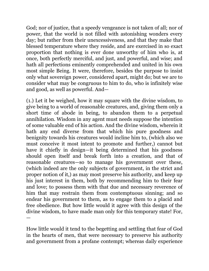God; nor of justice, that a speedy vengeance is not taken of all; nor of power, that the world is not filled with astonishing wonders every day; but rather from their unexcessiveness, and that they make that blessed temperature where they reside, and are exercised in so exact proportion that nothing is ever done unworthy of him who is, at once, both perfectly merciful, and just, and powerful, and wise; and hath all perfections eminently comprehended and united in his own most simple Being. It were, therefore, besides the purpose to insist only what sovereign power, considered apart, might do; but we are to consider what may be congruous to him to do, who is infinitely wise and good, as well as powerful. And—

(1.) Let it be weighed, how it may square with the divine wisdom, to give being to a world of reasonable creatures, and, giving them only a short time of abode in being, to abandon them to a perpetual annihilation. Wisdom in any agent must needs suppose the intention of some valuable end of his action. And the divine wisdom, wherein it hath any end diverse from that which his pure goodness and benignity towards his creatures would incline him to, (which also we must conceive it most intent to promote and further,) cannot but have it chiefly in design—it being determined that his goodness should open itself and break forth into a creation, and that of reasonable creatures—so to manage his government over these, (which indeed are the only subjects of government, in the strict and proper notion of it,) as may most preserve his authority, and keep up his just interest in them, both by recommending him to their fear and love; to possess them with that due and necessary reverence of him that may restrain them from contemptuous sinning; and so endear his government to them, as to engage them to a placid and free obedience. But how little would it agree with this design of the divine wisdom, to have made man only for this temporary state! For, —

How little would it tend to the begetting and settling that fear of God in the hearts of men, that were necessary to preserve his authority and government from a profane contempt; whereas daily experience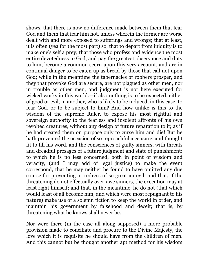shows, that there is now no difference made between them that fear God and them that fear him not, unless wherein the former are worse dealt with and more exposed to sufferings and wrongs; that at least, it is often (yea for the most part) so, that to depart from iniquity is to make one's self a prey; that those who profess and evidence the most entire devotedness to God, and pay the greatest observance and duty to him, become a common scorn upon this very account, and are in continual danger to be eaten up as bread by those that call not upon God; while in the meantime the tabernacles of robbers prosper, and they that provoke God are secure, are not plagued as other men, nor in trouble as other men, and judgment is not here executed for wicked works in this world:—if also nothing is to be expected, either of good or evil, in another, who is likely to be induced, in this case, to fear God, or to be subject to him? And how unlike is this to the wisdom of the supreme Ruler, to expose his most rightful and sovereign authority to the fearless and insolent affronts of his own revolted creatures, without any design of future reparation to it; as if he had created them on purpose only to curse him and die! But he hath prevented the occasion of so reproachful a censure, and thought fit to fill his word, and the consciences of guilty sinners, with threats and dreadful presages of a future judgment and state of punishment: to which he is no less concerned, both in point of wisdom and veracity, (and I may add of legal justice) to make the event correspond, that he may neither be found to have omitted any due course for preventing or redress of so great an evil; and that, if the threatening do not effectually over-awe sinners, the execution may at least right himself; and that, in the meantime, he do not (that which would least of all become him, and which were most repugnant to his nature) make use of a solemn fiction to keep the world in order, and maintain his government by falsehood and deceit; that is, by threatening what he knows shall never be.

Nor were there (in the case all along supposed) a more probable provision made to conciliate and procure to the Divine Majesty, the love which it is requisite he should have from the children of men. And this cannot but be thought another apt method for his wisdom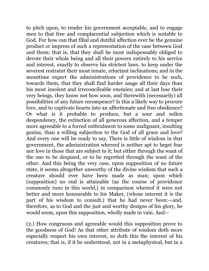to pitch upon, to render his government acceptable, and to engage men to that free and complacential subjection which is suitable to God. For how can that filial and dutiful affection ever be the genuine product or impress of such a representation of the case between God and them; that is, that they shall be most indispensably obliged to devote their whole being and all their powers entirely to his service and interest, exactly to observe his strictest laws, to keep under the severest restraint their most innate, reluctant inclinations; and in the meantime expect the administrations of providence to be such, towards them, that they shall find harder usage all their days than his most insolent and irreconcileable enemies; and at last lose their very beings, they know not how soon, and therewith (necessarily) all possibilities of any future recompence? Is this a likely way to procure love, and to captivate hearts into an affectionate and free obedience? Or what is it probable to produce, but a sour and sullen despondency, the extinction of all generous affection, and a temper more agreeable to a forced enthralment to some malignant, insulting genius, than a willing subjection to the God of all grace and love? And every one will be ready to say, There is little of wisdom in that government, the administration whereof is neither apt to beget fear nor love in those that are subject to it; but either through the want of the one to be despised, or to be regretted through the want of the other. And this being the very case, upon supposition of no future state, it seems altogether unworthy of the divine wisdom that such a creature should ever have been made as man; upon which (supposition) no end is attainable (as the course of providence commonly runs in this world,) in comparison whereof it were not better and more honourable to his Maker, (whose interest it is the part of his wisdom to consult,) that he had never been:—and, therefore, as to God and the just and worthy designs of his glory, he would seem, upon this supposition, wholly made in vain. And—

(2.) How congruous and agreeable would this supposition prove to the goodness of God! As that other attribute of wisdom doth more especially respect his own interest, so doth this the interest of his creatures; that is, if it be understood, not in a metaphysical, but in a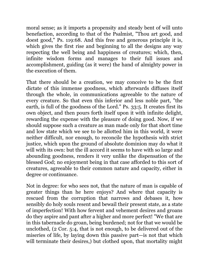moral sense; as it imports a propensity and steady bent of will unto benefaction, according to that of the Psalmist, "Thou art good, and doest good," Ps. 119:68. And this free and generous principle it is, which gives the first rise and beginning to all the designs any way respecting the well being and happiness of creatures; which, then, infinite wisdom forms and manages to their full issues and accomplishment, guiding (as it were) the hand of almighty power in the execution of them.

That there should be a creation, we may conceive to be the first dictate of this immense goodness, which afterwards diffuses itself through the whole, in communications agreeable to the nature of every creature. So that even this inferior and less noble part, "the earth, is full of the goodness of the Lord." Ps. 33:5. It creates first its own object, and then pours forth itself upon it with infinite delight, rewarding the expense with the pleasure of doing good. Now, if we should suppose such a creature as man made only for that short time and low state which we see to be allotted him in this world, it were neither difficult, nor enough, to reconcile the hypothesis with strict justice, which upon the ground of absolute dominion may do what it will with its own: but the ill accord it seems to have with so large and abounding goodness, renders it very unlike the dispensation of the blessed God; no enjoyment being in that case afforded to this sort of creatures, agreeable to their common nature and capacity, either in degree or continuance.

Not in degree: for who sees not, that the nature of man is capable of greater things than he here enjoys? And where that capacity is rescued from the corruption that narrows and debases it, how sensibly do holy souls resent and bewail their present state, as a state of imperfection! With how fervent and vehement desires and groans do they aspire and pant after a higher and more perfect! "We that are in this tabernacle do groan, being burdened; not for that we would be unclothed, (2 Cor. 5:4, that is not enough, to be delivered out of the miseries of life, by laying down this passive part—is not that which will terminate their desires, but clothed upon, that mortality might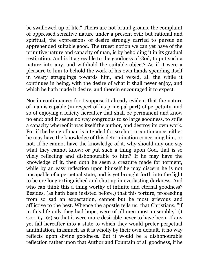be swallowed up of life." Theirs are not brutal groans, the complaint of oppressed sensitive nature under a present evil; but rational and spiritual, the expressions of desire strongly carried to pursue an apprehended suitable good. The truest notion we can yet have of the primitive nature and capacity of man, is by beholding it in its gradual restitution. And is it agreeable to the goodness of God, to put such a nature into any, and withhold the suitable object? As if it were a pleasure to him to behold the work of his own hands spending itself in weary strugglings towards him, and vexed, all the while it continues in being, with the desire of what it shall never enjoy, and which he hath made it desire, and therein encouraged it to expect.

Nor in continuance: for I suppose it already evident that the nature of man is capable (in respect of his principal part) of perpetuity, and so of enjoying a felicity hereafter that shall be permanent and know no end: and it seems no way congruous to so large goodness, to stifle a capacity whereof it was itself the author, and destroy its own work. For if the being of man is intended for so short a continuance, either he may have the knowledge of this determination concerning him, or not. If he cannot have the knowledge of it, why should any one say what they cannot know; or put such a thing upon God, that is so vilely reflecting and dishonourable to him? If he may have the knowledge of it, then doth he seem a creature made for torment, while by an easy reflection upon himself he may discern he is not uncapable of a perpetual state, and is yet brought forth into the light to be ere long extinguished and shut up in everlasting darkness. And who can think this a thing worthy of infinite and eternal goodness? Besides, (as hath been insisted before,) that this torture, proceeding from so sad an expectation, cannot but be most grievous and afflictive to the best. Whence the apostle tells us, that Christians, "if in this life only they had hope, were of all men most miserable," (1 Cor. 15:19;) so that it were more desirable never to have been. If any yet fall hereafter into a state to which they would prefer perpetual annihilation, inasmuch as it is wholly by their own default, it no way reflects upon divine goodness. But it would be a dishonourable reflection rather upon that Author and Fountain of all goodness, if he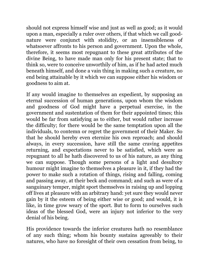should not express himself wise and just as well as good; as it would upon a man, especially a ruler over others, if that which we call goodnature were conjunct with stolidity, or an insensibleness of whatsoever affronts to his person and government. Upon the whole, therefore, it seems most repugnant to these great attributes of the divine Being, to have made man only for his present state; that to think so, were to conceive unworthily of him, as if he had acted much beneath himself, and done a vain thing in making such a creature, no end being attainable by it which we can suppose either his wisdom or goodness to aim at.

If any would imagine to themselves an expedient, by supposing an eternal succession of human generations, upon whom the wisdom and goodness of God might have a perpetual exercise, in the government and sustentation of them for their appointed times; this would be far from satisfying as to either, but would rather increase the difficulty; for there would be the same temptation upon all the individuals, to contemn or regret the government of their Maker. So that he should hereby even eternize his own reproach; and should always, in every succession, have still the same craving appetites returning, and expectations never to be satisfied, which were as repugnant to all he hath discovered to us of his nature, as any thing we can suppose. Though some persons of a light and desultory humour might imagine to themselves a pleasure in it, if they had the power to make such a rotation of things, rising and falling, coming and passing away, at their beck and command; and such as were of a sanguinary temper, might sport themselves in raising up and lopping off lives at pleasure with an arbitrary hand: yet sure they would never gain by it the esteem of being either wise or good; and would, it is like, in time grow weary of the sport. But to form to ourselves such ideas of the blessed God, were an injury not inferior to the very denial of his being.

His providence towards the inferior creatures hath no resemblance of any such thing; whom his bounty sustains agreeably to their natures, who have no foresight of their own cessation from being, to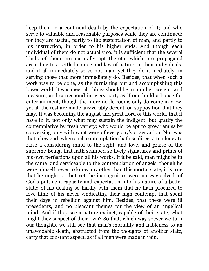keep them in a continual death by the expectation of it; and who serve to valuable and reasonable purposes while they are continued; for they are useful, partly to the sustentation of man, and partly to his instruction, in order to his higher ends. And though each individual of them do not actually so, it is sufficient that the several kinds of them are naturally apt thereto, which are propagated according to a settled course and law of nature, in their individuals: and if all immediately serve not man, yet they do it mediately, in serving those that more immediately do. Besides, that when such a work was to be done, as the furnishing out and accomplishing this lower world, it was meet all things should be in number, weight, and measure, and correspond in every part; as if one build a house for entertainment, though the more noble rooms only do come in view, yet all the rest are made answerably decent, on supposition that they may. It was becoming the august and great Lord of this world, that it have in it, not only what may sustain the indigent, but gratify the contemplative by fresh variety; who would be apt to grow remiss by conversing only with what were of every day's observation. Nor was that a low end, when such contemplation hath so direct a tendency to raise a considering mind to the sight, and love, and praise of the supreme Being, that hath stamped so lively signatures and prints of his own perfections upon all his works. If it be said, man might be in the same kind serviceable to the contemplation of angels, though he were himself never to know any other than this mortal state; it is true that he might so; but yet the incongruities were no way salved, of God's putting a capacity and expectation into his nature of a better state: of his dealing so hardly with them that he hath procured to love him: of his never vindicating their high contempt that spent their days in rebellion against him. Besides, that these were ill precedents, and no pleasant themes for the view of an angelical mind. And if they see a nature extinct, capable of their state, what might they suspect of their own? So that, which way soever we turn our thoughts, we still see that man's mortality and liableness to an unavoidable death, abstracted from the thoughts of another state, carry that constant aspect, as if all men were made in vain.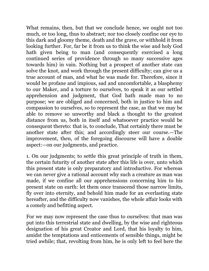What remains, then, but that we conclude hence, we ought not too much, or too long, thus to abstract; nor too closely confine our eye to this dark and gloomy theme, death and the grave, or withhold it from looking further. For, far be it from us to think the wise and holy God hath given being to man (and consequently exercised a long continued series of providence through so many successive ages towards him) in vain. Nothing but a prospect of another state can solve the knot, and work through the present difficulty; can give us a true account of man, and what he was made for. Therefore, since it would be profane and impious, sad and uncomfortable, a blasphemy to our Maker, and a torture to ourselves, to speak it as our settled apprehension and judgment, that God hath made man to no purpose; we are obliged and concerned, both in justice to him and compassion to ourselves, so to represent the case, as that we may be able to remove so unworthy and black a thought to the greatest distance from us, both in itself and whatsoever practice would be consequent thereto: that is, to conclude, That certainly there must be another state after this; and accordingly steer our course.—The improvement, then, of the foregoing discourse will have a double aspect:—on our judgments, and practice.

1. On our judgments; to settle this great principle of truth in them, the certain futurity of another state after this life is over, unto which this present state is only preparatory and introductive. For whereas we can never give a rational account why such a creature as man was made, if we confine all our apprehensions concerning him to his present state on earth: let them once transcend those narrow limits, fly over into eternity, and behold him made for an everlasting state hereafter, and the difficulty now vanishes, the whole affair looks with a comely and befitting aspect.

For we may now represent the case thus to ourselves: that man was put into this terrestrial state and dwelling, by the wise and righteous designation of his great Creator and Lord, that his loyalty to him, amidst the temptations and enticements of sensible things, might be tried awhile; that, revolting from him, he is only left to feel here the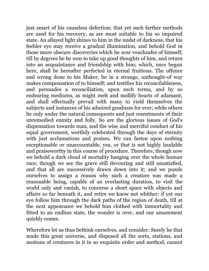just smart of his causeless defection; that yet such farther methods are used for his recovery, as are most suitable to his so impaired state. An allayed light shines to him in the midst of darkness, that his feebler eye may receive a gradual illumination, and behold God in those more obscure discoveries which he now vouchsafes of himself, till by degrees he be won to take up good thoughts of him, and return into an acquaintance and friendship with him; which, once begun here, shall be hereafter perfected in eternal fruitions. The offence and wrong done to his Maker, he in a strange, unthought-of way makes compensation of to himself; and testifies his reconcilableness, and persuades a reconciliation, upon such terms, and by so endearing mediums, as might melt and mollify hearts of adamant; and shall effectually prevail with many to yield themselves the subjects and instances of his admired goodness for ever; while others lie only under the natural consequents and just resentments of their unremedied enmity and folly. So are the glorious issues of God's dispensation towards man, and the wise and merciful conduct of his equal government, worthily celebrated through the days of eternity with just acclamations and praises. We can fasten upon nothing exceptionable or unaccountable, yea, or that is not highly laudable and praiseworthy in this course of procedure. Therefore, though now we behold a dark cloud of mortality hanging over the whole human race; though we see the grave still devouring and still unsatisfied, and that all are successively drawn down into it; and we puzzle ourselves to assign a reason why such a creature was made a reasonable being, capable of an everlasting duration, to visit the world only and vanish, to converse a short space with objects and affairs so far beneath it, and retire we know not whither: if yet our eye follow him through the dark paths of the region of death, till at the next appearance we behold him clothed with immortality and fitted to an endless state, the wonder is over, and our amazement quickly ceases.

Wherefore let us thus bethink ourselves, and consider: Surely he that made this great universe, and disposed all the sorts, stations, and motions of creatures in it in so exquisite order and method, cannot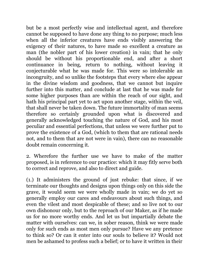but be a most perfectly wise and intellectual agent, and therefore cannot be supposed to have done any thing to no purpose; much less when all the inferior creatures have ends visibly answering the exigency of their natures, to have made so excellent a creature as man (the nobler part of his lower creation) in vain; that he only should be without his proportionable end, and after a short continuance in being, return to nothing, without leaving it conjecturable what he was made for. This were so intolerable an incongruity, and so unlike the footsteps that every where else appear in the divine wisdom and goodness, that we cannot but inquire further into this matter, and conclude at last that he was made for some higher purposes than are within the reach of our sight, and hath his principal part yet to act upon another stage, within the veil, that shall never be taken down. The future immortality of man seems therefore so certainly grounded upon what is discovered and generally acknowledged touching the nature of God, and his most peculiar and essential perfections, that unless we were further put to prove the existence of a God, (which to them that are rational needs not, and to them that are not were in vain), there can no reasonable doubt remain concerning it.

2. Wherefore the further use we have to make of the matter proposed, is in reference to our practice: which it may fitly serve both to correct and reprove, and also to direct and guide.

(1.) It administers the ground of just rebuke: that since, if we terminate our thoughts and designs upon things only on this side the grave, it would seem we were wholly made in vain; we do yet so generally employ our cares and endeavours about such things, and even the vilest and most despicable of these; and so live not to our own dishonour only, but to the reproach of our Maker, as if he made us for no more worthy ends. And let us but impartially debate the matter with ourselves: can we, in sober reason, think we were made only for such ends as most men only pursue? Have we any pretence to think so? Or can it enter into our souls to believe it? Would not men be ashamed to profess such a belief; or to have it written in their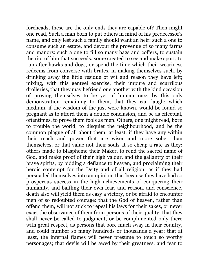foreheads, these are the only ends they are capable of? Then might one read, Such a man born to put others in mind of his predecessor's name, and only lest such a family should want an heir: such a one to consume such an estate, and devour the provenue of so many farms and manors: such a one to fill so many bags and coffers, to sustain the riot of him that succeeds: some created to see and make sport; to run after hawks and dogs, or spend the time which their weariness redeems from converse with brutes, in making themselves such, by drinking away the little residue of wit and reason they have left; mixing, with this genteel exercise, their impure and scurrilous drolleries, that they may befriend one another with the kind occasion of proving themselves to be yet of human race, by this only demonstration remaining to them, that they can laugh; which medium, if the wisdom of the just were known, would be found so pregnant as to afford them a double conclusion, and be as effectual, oftentimes, to prove them fools as men. Others, one might read, born to trouble the world, to disquiet the neighbourhood, and be the common plague of all about them; at least, if they have any within their reach and power that are wiser and more sober than themselves, or that value not their souls at so cheap a rate as they; others made to blaspheme their Maker, to rend the sacred name of God, and make proof of their high valour, and the gallantry of their brave spirits, by bidding a defiance to heaven, and proclaiming their heroic contempt for the Deity and of all religion; as if they had persuaded themselves into an opinion, that because they have had so prosperous success in the high achievements of conquering their humanity, and baffling their own fear, and reason, and conscience, death also will yield them as easy a victory, or be afraid to encounter men of so redoubted courage: that the God of heaven, rather than offend them, will not stick to repeal his laws for their sakes, or never exact the observance of them from persons of their quality; that they shall never be called to judgment, or be complimented only there with great respect, as persons that bore much sway in their country, and could number so many hundreds or thousands a year; that at least, the infernal flames will never presume to touch so worthy personages; that devils will be awed by their greatness, and fear to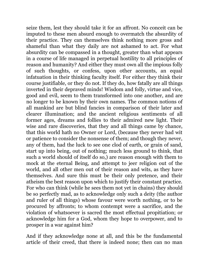seize them, lest they should take it for an affront. No conceit can be imputed to these men absurd enough to overmatch the absurdity of their practice. They can themselves think nothing more gross and shameful than what they daily are not ashamed to act. For what absurdity can be compassed in a thought, greater than what appears in a course of life managed in perpetual hostility to all principles of reason and humanity? And either they must own all the impious folly of such thoughts, or confess, upon other accounts, an equal infatuation in their thinking faculty itself. For either they think their course justifiable, or they do not. If they do, how fatally are all things inverted in their depraved minds! Wisdom and folly, virtue and vice, good and evil, seem to them transformed into one another, and are no longer to be known by their own names. The common notions of all mankind are but blind fancies in comparison of their later and clearer illumination; and the ancient religious sentiments of all former ages, dreams and follies to their admired new light. Their wise and rare discoveries, that they and all things came by chance, that this world hath no Owner or Lord, (because they never had wit or patience to consider the nonsense of them; and though they never, any of them, had the luck to see one clod of earth, or grain of sand, start up into being, out of nothing; much less ground to think, that such a world should of itself do so,) are reason enough with them to mock at the eternal Being, and attempt to jeer religion out of the world, and all other men out of their reason and wits, as they have themselves. And sure this must be their only pretence, and their atheism the best reason upon which to justify their constant practice. For who can think (while he sees them not yet in chains) they should be so perfectly mad, as to acknowledge only such a deity (the author and ruler of all things) whose favour were worth nothing, or to be procured by affronts; to whom contempt were a sacrifice, and the violation of whatsoever is sacred the most effectual propitiation; or acknowledge him for a God, whom they hope to overpower, and to prosper in a war against him?

And if they acknowledge none at all, and this be the fundamental article of their creed, that there is indeed none; then can no man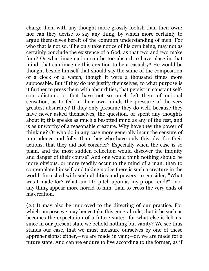charge them with any thought more grossly foolish than their own; nor can they devise to say any thing, by which more certainly to argue themselves bereft of the common understanding of men. For who that is not so, if he only take notice of his own being, may not as certainly conclude the existence of a God, as that two and two make four? Or what imagination can be too absurd to have place in that mind, that can imagine this creation to be a casualty? He would be thought beside himself that should say the same of the composition of a clock or a watch, though it were a thousand times more supposable. But if they do not justify themselves, to what purpose is it further to press them with absurdities, that persist in constant selfcontradiction: or that have not so much left them of rational sensation, as to feel in their own minds the pressure of the very greatest absurdity? If they only presume they do well, because they have never asked themselves, the question, or spent any thoughts about it; this speaks as much a besotted mind as any of the rest, and is as unworthy of a reasonable creature. Why have they the power of thinking? Or who do in any case more generally incur the censure of imprudence and folly, than they who have only this plea for their actions, that they did not consider? Especially when the case is so plain, and the most sudden reflection would discover the iniquity and danger of their course? And one would think nothing should be more obvious, or more readily occur to the mind of a man, than to contemplate himself, and taking notice there is such a creature in the world, furnished with such abilities and powers, to consider, "What was I made for? What am I to pitch upon as my proper end?"—nor any thing appear more horrid to him, than to cross the very ends of his creation.

(2.) It may also be improved to the directing of our practice. For which purpose we may hence take this general rule, that it be such as becomes the expectation of a future state:—for what else is left us, since in our present state we behold nothing but vanity? We see thus stands our case, that we must measure ourselves by one of these apprehensions: either,—we are made in vain;—or, we are made for a future state. And can we endure to live according to the former, as if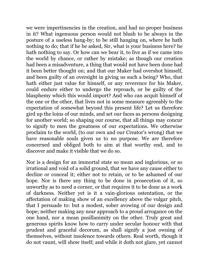we were impertinencies in the creation, and had no proper business in it? What ingenuous person would not blush to be always in the posture of a useless hang-by; to be still hanging on, where he hath nothing to do; that if he be asked, Sir, what is your business here? he hath nothing to say. Or how can we bear it, to live as if we came into the world by chance, or rather by mistake; as though our creation had been a misadventure, a thing that would not have been done had it been better thought on; and that our Maker had overshot himself, and been guilty of an oversight in giving us such a being? Who, that hath either just value for himself, or any reverence for his Maker, could endure either to undergo the reproach, or be guilty of the blasphemy which this would import? And who can acquit himself of the one or the other, that lives not in some measure agreeably to the expectation of somewhat beyond this present life? Let us therefore gird up the loins of our minds, and set our faces as persons designing for another world; so shaping our course, that all things may concur to signify to men the greatness of our expectations. We otherwise proclaim to the world, (to our own and our Creator's wrong) that we have reasonable souls given us to no purpose. We are therefore concerned and obliged both to aim at that worthy end, and to discover and make it visible that we do so.

Nor is a design for an immortal state so mean and inglorious, or so irrational and void of a solid ground, that we have any cause either to decline or conceal it; either not to retain, or to be ashamed of our hope. Nor is there any thing to be done in prosecution of it, so unworthy as to need a corner, or that requires it to be done as a work of darkness. Neither yet is it a vain-glorious ostentation, or the affectation of making show of an excellency above the vulgar pitch, that I persuade to: but a modest, sober avowing of our design and hope; neither making any near approach to a proud arrogance on the one hand, nor a mean pusillanimity on the other. Truly great and generous spirits know how to carry under secular honour with that prudent and graceful decorum, as shall signify a just owning of themselves, without insolence towards others. Real worth, though it do not vaunt, will show itself; and while it doth not glare, yet cannot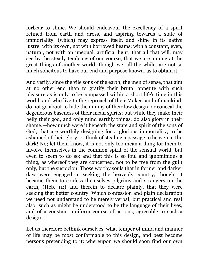forbear to shine. We should endeavour the excellency of a spirit refined from earth and dross, and aspiring towards a state of immortality; (which) may express itself, and shine in its native lustre; with its own, not with borrowed beams; with a constant, even, natural, not with an unequal, artificial light; that all that will, may see by the steady tendency of our course, that we are aiming at the great things of another world: though we, all the while, are not so much solicitous to have our end and purpose known, as to obtain it.

And verily, since the vile sons of the earth, the men of sense, that aim at no other end than to gratify their brutal appetite with such pleasure as is only to be compassed within a short life's time in this world, and who live to the reproach of their Maker, and of mankind, do not go about to hide the infamy of their low design, or conceal the degenerous baseness of their mean spirits; but while they make their belly their god, and only mind earthly things, do also glory in their shame:—how much were it beneath the state and spirit of the sons of God, that are worthily designing for a glorious immortality, to be ashamed of their glory, or think of stealing a passage to heaven in the dark! No; let them know, it is not only too mean a thing for them to involve themselves in the common spirit of the sensual world, but even to seem to do so; and that this is so foul and ignominious a thing, as whereof they are concerned, not to be free from the guilt only, but the suspicion. Those worthy souls that in former and darker days were engaged in seeking the heavenly country, thought it became them to confess themselves pilgrims and strangers on the earth, (Heb. 11;) and therein to declare plainly, that they were seeking that better country. Which confession and plain declaration we need not understand to be merely verbal, but practical and real also; such as might be understood to be the language of their lives, and of a constant, uniform course of actions, agreeable to such a design.

Let us therefore bethink ourselves, what temper of mind and manner of life may be most conformable to this design, and best become persons pretending to it: whereupon we should soon find our own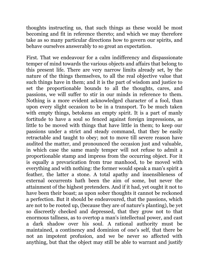thoughts instructing us, that such things as these would be most becoming and fit in reference thereto; and which we may therefore take as so many particular directions how to govern our spirits, and behave ourselves answerably to so great an expectation.

First. That we endeavour for a calm indifferency and dispassionate temper of mind towards the various objects and affairs that belong to this present life. There are very narrow limits already set, by the nature of the things themselves, to all the real objective value that such things have in them; and it is the part of wisdom and justice to set the proportionable bounds to all the thoughts, cares, and passions, we will suffer to stir in our minds in reference to them. Nothing is a more evident acknowledged character of a fool, than upon every slight occasion to be in a transport. To be much taken with empty things, betokens an empty spirit. It is a part of manly fortitude to have a soul so fenced against foreign impressions, as little to be moved with things that have little in them; to keep our passions under a strict and steady command, that they be easily retractable and taught to obey; not to move till severe reason have audited the matter, and pronounced the occasion just and valuable, in which case the same manly temper will not refuse to admit a proportionable stamp and impress from the occurring object. For it is equally a prevarication from true manhood, to be moved with everything and with nothing: the former would speak a man's spirit a feather, the latter a stone. A total apathy and insensibleness of external occurrents hath been the aim of some, but never the attainment of the highest pretenders. And if it had, yet ought it not to have been their boast; as upon sober thoughts it cannot be reckoned a perfection. But it should be endeavoured, that the passions, which are not to be rooted up, (because they are of nature's planting), be yet so discreetly checked and depressed, that they grow not to that enormous tallness, as to overtop a man's intellectual power, and cast a dark shadow over his soul. A rational authority must be maintained, a continency and dominion of one's self, that there be not an impotent profusion, and we be never so affected with anything, but that the object may still be able to warrant and justify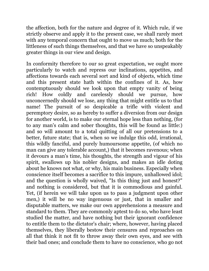the affection, both for the nature and degree of it. Which rule, if we strictly observe and apply it to the present case, we shall rarely meet with any temporal concern that ought to move us much; both for the littleness of such things themselves, and that we have so unspeakably greater things in our view and design.

In conformity therefore to our so great expectation, we ought more particularly to watch and repress our inclinations, appetites, and affections towards each several sort and kind of objects, which time and this present state hath within the confines of it. As, how contemptuously should we look upon that empty vanity of being rich! How coldly and carelessly should we pursue, how unconcernedly should we lose, any thing that might entitle us to that name! The pursuit of so despicable a trifle with violent and peremptory desire, so as hereby to suffer a diversion from our design for another world, is to make our eternal hope less than nothing, (for to any man's calm and sober thoughts, this will be found as little:) and so will amount to a total quitting of all our pretensions to a better, future state; that is, when so we indulge this odd, irrational, this wildly fanciful, and purely humoursome appetite, (of which no man can give any tolerable account,) that it becomes ravenous; when it devours a man's time, his thoughts, the strength and vigour of his spirit, swallows up his nobler designs, and makes an idle doting about he knows not what, or why, his main business. Especially when conscience itself becomes a sacrifice to this impure, unhallowed idol; and the question is wholly waived, "Is this thing just and honest?" and nothing is considered, but that it is commodious and gainful. Yet, (if herein we will take upon us to pass a judgment upon other men,) it will be no way ingenuous or just, that in smaller and disputable matters, we make our own apprehensions a measure and standard to them. They are commonly aptest to do so, who have least studied the matter, and have nothing but their ignorant confidence to entitle them to the dictator's chair; where, however, having placed themselves, they liberally bestow their censures and reproaches on all that think it not fit to throw away their own eyes, and see with their bad ones; and conclude them to have no conscience, who go not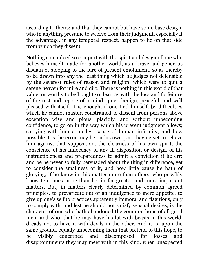according to theirs: and that they cannot but have some base design, who in anything presume to swerve from their judgment, especially if the advantage, in any temporal respect, happen to lie on that side from which they dissent.

Nothing can indeed so comport with the spirit and design of one who believes himself made for another world, as a brave and generous disdain of stooping to the lure of present emolument, so as thereby to be drawn into any the least thing which he judges not defensible by the severest rules of reason and religion; which were to quit a serene heaven for mire and dirt. There is nothing in this world of that value, or worthy to be bought so dear, as with the loss and forfeiture of the rest and repose of a mind, quiet, benign, peaceful, and well pleased with itself. It is enough, if one find himself, by difficulties which he cannot master, constrained to dissent from persons above exception wise and pious, placidly, and without unbecoming confidence, to go on in the way which his present judgment allows; carrying with him a modest sense of human infirmity, and how possible it is the error may lie on his own part: having yet to relieve him against that supposition, the clearness of his own spirit, the conscience of his innocency of any ill disposition or design, of his instructibleness and preparedness to admit a conviction if he err: and be he never so fully persuaded about the thing in difference, yet to consider the smallness of it, and how little cause he hath of glorying, if he know in this matter more than others, who possibly know ten times more than he, in far greater and more important matters. But, in matters clearly determined by common agreed principles, to prevaricate out of an indulgence to mere appetite, to give up one's self to practices apparently immoral and flagitious, only to comply with, and lest he should not satisfy sensual desires, is the character of one who hath abandoned the common hope of all good men; and who, that he may have his lot with beasts in this world, dreads not to have it with devils in the other. And it is, upon the same ground, equally unbecoming them that pretend to this hope, to be visibly concerned and discomposed for losses and disappointments they may meet with in this kind, when unexpected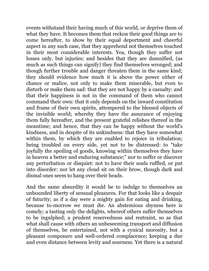events withstand their having much of this world, or deprive them of what they have. It becomes them that reckon their good things are to come hereafter, to show by their equal deportment and cheerful aspect in any such case, that they apprehend not themselves touched in their most considerable interests. Yea, though they suffer not losses only, but injuries; and besides that they are damnified, (as much as such things can signify) they find themselves wronged; and though further trouble and danger threaten them in the same kind; they should evidence how much it is above the power either of chance or malice, not only to make them miserable, but even to disturb or make them sad: that they are not happy by a casualty: and that their happiness is not in the command of them who cannot command their own: that it only depends on the inward constitution and frame of their own spirits, attempered to the blessed objects of the invisible world; whereby they have the assurance of enjoying them fully hereafter, and the present grateful relishes thereof in the meantime; and hence, that they can be happy without the world's kindness, and in despite of its unkindness: that they have somewhat within them, by which they are enabled to rejoice in tribulation; being troubled on every side, yet not to be distressed: to "take joyfully the spoiling of goods, knowing within themselves they have in heaven a better and enduring substance;" nor to suffer or discover any perturbation or disquiet: not to have their souls ruffled, or put into disorder: nor let any cloud sit on their brow, though dark and dismal ones seem to hang over their heads.

And the same absurdity it would be to indulge to themselves an unbounded liberty of sensual pleasures. For that looks like a despair of futurity; as if a day were a mighty gain for eating and drinking, because to-morrow we must die. An abstemious shyness here is comely; a tasting only the delights, whereof others suffer themselves to be ingulphed; a prudent reservedness and restraint, so as that what shall cause with others an unbeseeming transport and diffusion of themselves, be entertained, not with a cynical morosity, but a pleasant composure and well-ordered complacence; keeping a due and even distance between levity and sourness. Yet there is a natural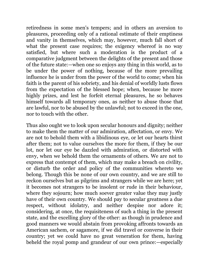retiredness in some men's tempers; and in others an aversion to pleasures, proceeding only of a rational estimate of their emptiness and vanity in themselves, which may, however, much fall short of what the present case requires; the exigency whereof is no way satisfied, but where such a moderation is the product of a comparative judgment between the delights of the present and those of the future state:—when one so enjoys any thing in this world, as to be under the power of nothing, because of the more prevailing influence he is under from the power of the world to come; when his faith is the parent of his sobriety, and his denial of worldly lusts flows from the expectation of the blessed hope; when, because he more highly prizes, and lest he forfeit eternal pleasures, he so behaves himself towards all temporary ones, as neither to abuse those that are lawful, nor to be abused by the unlawful; not to exceed in the one, nor to touch with the other.

Thus also ought we to look upon secular honours and dignity; neither to make them the matter of our admiration, affectation, or envy. We are not to behold them with a libidinous eye, or let our hearts thirst after them; not to value ourselves the more for them, if they be our lot, nor let our eye be dazzled with admiration, or distorted with envy, when we behold them the ornaments of others. We are not to express that contempt of them, which may make a breach on civility, or disturb the order and policy of the communities whereto we belong. Though this be none of our own country, and we are still to reckon ourselves but as pilgrims and strangers while we are here; yet it becomes not strangers to be insolent or rude in their behaviour, where they sojourn; how much soever greater value they may justly have of their own country. We should pay to secular greatness a due respect, without idolatry, and neither despise nor adore it; considering, at once, the requisiteness of such a thing in the present state, and the excelling glory of the other: as though in prudence and good manners we would abstain from provoking affronts towards an American sachem, or sagamore, if we did travel or converse in their country; yet we could have no great veneration for them, having beheld the royal pomp and grandeur of our own prince:—especially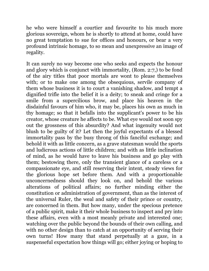he who were himself a courtier and favourite to his much more glorious sovereign, whom he is shortly to attend at home, could have no great temptation to sue for offices and honours, or bear a very profound intrinsic homage, to so mean and unexpressive an image of regality.

It can surely no way become one who seeks and expects the honour and glory which is conjunct with immortality, (Rom. 2:7,) to be fond of the airy titles that poor mortals are wont to please themselves with; or to make one among the obsequious, servile company of them whose business it is to court a vanishing shadow, and tempt a dignified trifle into the belief it is a deity; to sneak and cringe for a smile from a supercilious brow, and place his heaven in the disdainful favours of him who, it may be, places his own as much in thy homage; so that it befalls into the supplicant's power to be his creator, whose creature he affects to be. What eye would not soon spy out the grossness of this absurdity? And what ingenuity would not blush to be guilty of it? Let then the joyful expectants of a blessed immortality pass by the busy throng of this fanciful exchange; and behold it with as little concern, as a grave statesman would the sports and ludicrous actions of little children; and with as little inclination of mind, as he would have to leave his business and go play with them; bestowing there, only the transient glance of a careless or a compassionate eye, and still reserving their intent, steady views for the glorious hope set before them. And with a proportionable unconcernedness should they look on, and behold the various alterations of political affairs; no further minding either the constitution or administration of government, than as the interest of the universal Ruler, the weal and safety of their prince or country, are concerned in them. But how many, under the specious pretence of a public spirit, make it their whole business to inspect and pry into these affairs, even with a most meanly private and interested one; watching over the public beyond the bounds of their own calling, and with no other design than to catch at an opportunity of serving their own turns! How many that stand perpetually at a gaze, in a suspenseful expectation how things will go; either joying or hoping to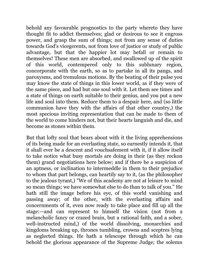behold any favourable prognostics to the party whereto they have thought fit to addict themselves; glad or desirous to see it engross power, and grasp the sum of things; not from any sense of duties towards God's vicegerents, not from love of justice or study of public advantage, but that the happier lot may befall or remain to themselves! These men are absorbed, and swallowed up of the spirit of this world, contempered only to this sublunary region, concorporate with the earth, so as to partake in all its pangs, and paroxysms, and tremulous motions. By the beating of their pulse you may know the state of things in this lower world, as if they were of the same piece, and had but one soul with it. Let them see times and a state of things on earth suitable to their genius, and you put a new life and soul into them. Reduce them to a despair here, and (so little communion have they with the affairs of that other country,) the most specious inviting representation that can be made to them of the world to come hinders not, but their hearts languish and die, and become as stones within them.

But that lofty soul that bears about with it the living apprehensions of its being made for an everlasting state, so earnestly intends it, that it shall ever be a descent and vouchsafement with it, if it allow itself to take notice what busy mortals are doing in their (as they reckon them) grand negotiations here below; and if there be a suspicion of an aptness, or inclination to intermeddle in them to their prejudice to whom that part belongs, can heartily say to it, (as the philosopher to the jealous tyrant,) "We of this academy are not at leisure to mind so mean things; we have somewhat else to do than to talk of you." He hath still the image before his eye, of this world vanishing and passing away; of the other, with the everlasting affairs and concernments of it, even now ready to take place and fill up all the stage:—and can represent to himself the vision (not from a melancholic fancy or crazed brain, but a rational faith, and a sober, well-instructed mind,) of the world dissolving, monarchies and kingdoms breaking up, thrones tumbling, crowns and sceptres lying as neglected things. He hath a telescope through which he can behold the glorious appearance of the Supreme Judge; the solemn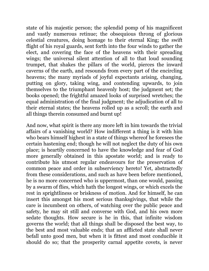state of his majestic person; the splendid pomp of his magnificent and vastly numerous retinue; the obsequious throng of glorious celestial creatures, doing homage to their eternal King; the swift flight of his royal guards, sent forth into the four winds to gather the elect, and covering the face of the heavens with their spreading wings; the universal silent attention of all to that loud sounding trumpet, that shakes the pillars of the world, pierces the inward caverns of the earth, and resounds from every part of the encircling heavens; the many myriads of joyful expectants arising, changing, putting on glory, taking wing, and contending upwards, to join themselves to the triumphant heavenly host; the judgment set; the books opened; the frightful amazed looks of surprised wretches; the equal administration of the final judgment; the adjudication of all to their eternal states; the heavens rolled up as a scroll; the earth and all things therein consumed and burnt up!

And now, what spirit is there any more left in him towards the trivial affairs of a vanishing world? How indifferent a thing is it with him who bears himself highest in a state of things whereof he foresees the certain hastening end; though he will not neglect the duty of his own place; is heartily concerned to have the knowledge and fear of God more generally obtained in this apostate world; and is ready to contribute his utmost regular endeavours for the preservation of common peace and order in subserviency hereto! Yet, abstractedly from these considerations, and such as have been before mentioned, he is no more concerned who is uppermost, than one would, passing by a swarm of flies, which hath the longest wings, or which excels the rest in sprightliness or briskness of motion. And for himself, he can insert this amongst his most serious thanksgivings, that while the care is incumbent on others, of watching over the public peace and safety, he may sit still and converse with God, and his own more sedate thoughts. How secure is he in this, that infinite wisdom governs the world; that all things shall be disposed the best way, to the best and most valuable ends; that an afflicted state shall never befall unto good men, but when it is fittest and most conducible it should do so; that the prosperity carnal appetite covets, is never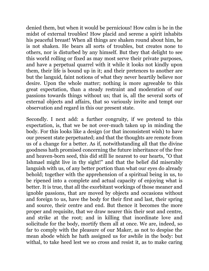denied them, but when it would be pernicious! How calm is he in the midst of external troubles! How placid and serene a spirit inhabits his peaceful breast! When all things are shaken round about him, he is not shaken. He bears all sorts of troubles, but creates none to others, nor is disturbed by any himself. But they that delight to see this world rolling or fixed as may most serve their private purposes, and have a perpetual quarrel with it while it looks not kindly upon them, their life is bound up in it; and their pretences to another are but the languid, faint notions of what they never heartily believe nor desire. Upon the whole matter; nothing is more agreeable to this great expectation, than a steady restraint and moderation of our passions towards things without us; that is, all the several sorts of external objects and affairs, that so variously invite and tempt our observation and regard in this our present state.

Secondly. I next add: a further congruity, if we pretend to this expectation, is, that we be not over-much taken up in minding the body. For this looks like a design (or that inconsistent wish) to have our present state perpetuated; and that the thoughts are remote from us of a change for a better. As if, notwithstanding all that the divine goodness hath promised concerning the future inheritance of the free and heaven-born seed, this did still lie nearest to our hearts, "O that Ishmael might live in thy sight!" and that the belief did miserably languish with us, of any better portion than what our eyes do already behold; together with the apprehension of a spiritual being in us, to be ripened into a complete and actual capacity of enjoying what is better. It is true, that all the exorbitant workings of those meaner and ignoble passions, that are moved by objects and occasions without and foreign to us, have the body for their first and last, their spring and source, their centre and end. But thence it becomes the more proper and requisite, that we draw nearer this their seat and centre, and strike at the root; and in killing that inordinate love and solicitude for the body, mortify them all at once. We are, indeed, so far to comply with the pleasure of our Maker, as not to despise the mean abode which he hath assigned us for awhile in the body: but withal, to take heed lest we so cross and resist it, as to make caring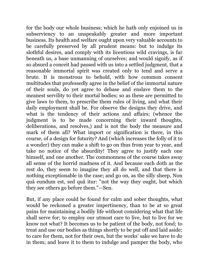for the body our whole business; which he hath only enjoined us in subserviency to an unspeakably greater and more important business. Its health and welfare ought upon very valuable accounts to be carefully preserved by all prudent means: but to indulge its slothful desires, and comply with its licentious wild cravings, is far beneath us, a base unmanning of ourselves; and would signify, as if so absurd a conceit had passed with us into a settled judgment, that a reasonable immortal spirit was created only to tend and serve a brute. It is monstrous to behold, with how common consent multitudes that professedly agree in the belief of the immortal nature of their souls, do yet agree to debase and enslave them to the meanest servility to their mortal bodies; so as these are permitted to give laws to them, to prescribe them rules of living, and what their daily employment shall be. For observe the designs they drive, and what is the tendency of their actions and affairs; (whence the judgment is to be made concerning their inward thoughts, deliberations, and resolves,) and is not the body the measure and mark of them all? What import or signification is there, in this course, of a design for futurity? And (which increases the folly of it to a wonder) they can make a shift to go on thus from year to year, and take no notice of the absurdity! They agree to justify each one himself, and one another. The commonness of the course takes away all sense of the horrid madness of it. And because each doth as the rest do, they seem to imagine they all do well, and that there is nothing exceptionable in the case; and go on, as the silly sheep, Non quâ eundum est, sed quâ itur: "not the way they ought, but which they see others go before them."—Sen.

But, if any place could be found for calm and sober thoughts, what would be reckoned a greater impertinency, than to be at so great pains for maintaining a bodily life without considering what that life shall serve for; to employ our utmost care to live, but to live for we know not what? It becomes us to be patient of the body, not fond; to treat and use our bodies as things shortly to be put off and laid aside; to care for them, not for their own, but the works' sake we have to do in them; and leave it to them to indulge and pamper the body, who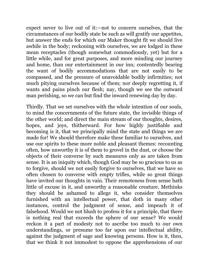expect never to live out of it:—not to concern ourselves, that the circumstances of our bodily state be such as will gratify our appetites, but answer the ends for which our Maker thought fit we should live awhile in the body; reckoning with ourselves, we are lodged in these mean receptacles (though somewhat commodiously, yet) but for a little while, and for great purposes, and more minding our journey and home, than our entertainment in our inn; contentedly bearing the want of bodily accommodations that are not easily to be compassed, and the pressure of unavoidable bodily infirmities; not much pitying ourselves because of them; nor deeply regretting it, if wants and pains pinch our flesh; nay, though we see the outward man perishing, so we can but find the inward renewing day by day.

Thirdly. That we set ourselves with the whole intention of our souls, to mind the concernments of the future state, the invisible things of the other world; and direct the main stream of our thoughts, desires, hopes, and joys, thitherward. For how highly justifiable and becoming is it, that we principally mind the state and things we are made for! We should therefore make these familiar to ourselves, and use our spirits to these more noble and pleasant themes: recounting often, how unworthy it is of them to grovel in the dust, or choose the objects of their converse by such measures only as are taken from sense. It is an iniquity which, though God may be so gracious to us as to forgive, should we not easily forgive to ourselves, that we have so often chosen to converse with empty trifles, while so great things have invited our thoughts in vain. Their remoteness from sense hath little of excuse in it, and unworthy a reasonable creature. Methinks they should be ashamed to allege it, who consider themselves furnished with an intellectual power, that doth in many other instances, control the judgment of sense, and impeach it of falsehood. Would we not blush to profess it for a principle, that there is nothing real that exceeds the sphere of our sense? We would reckon it a part of modesty not to ascribe too much to our own understandings, or presume too far upon our intellectual ability, against the judgment of sage and knowing persons. How is it, then, that we think it not immodest to oppose the apprehensions of our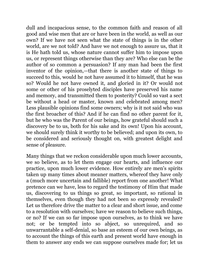dull and incapacious sense, to the common faith and reason of all good and wise men that are or have been in the world, as well as our own? If we have not seen what the state of things is in the other world, are we not told? And have we not enough to assure us, that it is He hath told us, whose nature cannot suffer him to impose upon us, or represent things otherwise than they are? Who else can be the author of so common a persuasion? If any man had been the first inventor of the opinion,—that there is another state of things to succeed to this, would he not have assumed it to himself, that he was so? Would he not have owned it, and gloried in it? Or would not some or other of his proselyted disciples have preserved his name and memory, and transmitted them to posterity? Could so vast a sect be without a head or master, known and celebrated among men? Less plausible opinions find some owners; why is it not said who was the first broacher of this? And if he can find no other parent for it, but he who was the Parent of our beings, how grateful should such a discovery be to us, both for his sake and its own! Upon his account, we should surely think it worthy to be believed; and upon its own, to be considered and seriously thought on, with greatest delight and sense of pleasure.

Many things that we reckon considerable upon much lower accounts, we so believe, as to let them engage our hearts, and influence our practice, upon much lower evidence. How entirely are men's spirits taken up many times about meaner matters, whereof they have only a (much more uncertain and fallible) report from one another! What pretence can we have, less to regard the testimony of Him that made us, discovering to us things so great, so important, so rational in themselves, even though they had not been so expressly revealed? Let us therefore drive the matter to a clear and short issue, and come to a resolution with ourselves; have we reason to believe such things, or no? If we can so far impose upon ourselves, as to think we have not; or be tempted into so abject, so unrequired, and so unwarrantable a self-denial, so base an esteem of our own beings, as to account the things of this earth and present world have enough in them to answer any ends we can suppose ourselves made for; let us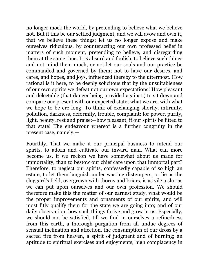no longer mock the world, by pretending to believe what we believe not. But if this be our settled judgment, and we will avow and own it, that we believe these things; let us no longer expose and make ourselves ridiculous, by counteracting our own professed belief in matters of such moment, pretending to believe, and disregarding them at the same time. It is absurd and foolish, to believe such things and not mind them much, or not let our souls and our practice be commanded and governed by them; not to have our desires, and cares, and hopes, and joys, influenced thereby to the uttermost. How rational is it here, to be deeply solicitous that by the unsuitableness of our own spirits we defeat not our own expectations! How pleasant and delectable (that danger being provided against,) to sit down and compare our present with our expected state; what we are, with what we hope to be ere long! To think of exchanging shortly, infirmity, pollution, darkness, deformity, trouble, complaint; for power, purity, light, beauty, rest and praise;—how pleasant, if our spirits be fitted to that state! The endeavour whereof is a further congruity in the present case, namely,—

Fourthly. That we make it our principal business to intend our spirits, to adorn and cultivate our inward man. What can more become us, if we reckon we have somewhat about us made for immortality, than to bestow our chief care upon that immortal part? Therefore, to neglect our spirits, confessedly capable of so high an estate, to let them languish under wasting distempers, or lie as the sluggard's field, overgrown with thorns and briars, is as vile a slur as we can put upon ourselves and our own profession. We should therefore make this the matter of our earnest study, what would be the proper improvements and ornaments of our spirits, and will most fitly qualify them for the state we are going into; and of our daily observation, how such things thrive and grow in us. Especially, we should not be satisfied, till we find in ourselves a refinedness from this earth, a thorough purgation from all undue degrees of sensual inclination and affection, the consumption of our dross by a sacred fire from heaven, a spirit of judgment and of burning; an aptitude to spiritual exercises and enjoyments, high complacency in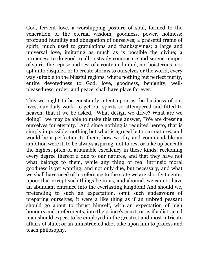God, fervent love, a worshipping posture of soul, formed to the veneration of the eternal wisdom, goodness, power, holiness; profound humility and abnegation of ourselves; a praiseful frame of spirit, much used to gratulations and thanksgivings; a large and universal love, imitating as much as is possible the divine; a proneness to do good to all; a steady composure and serene temper of spirit, the repose and rest of a contented mind, not boisterous, nor apt unto disquiet, or to create storms to ourselves or the world, every way suitable to the blissful regions, where nothing but perfect purity, entire devotedness to God, love, goodness, benignity, wellpleasedness, order, and peace, shall have place for ever.

This we ought to be constantly intent upon as the business of our lives, our daily work, to get our spirits so attempered and fitted to heaven, that if we be asked, "What design we drive? What are we doing?" we may be able to make this true answer, "We are dressing ourselves for eternity." And since nothing is required hereto, that is simply impossible, nothing but what is agreeable to our natures, and would be a perfection to them; how worthy and commendable an ambition were it, to be always aspiring, not to rest or take up beneath the highest pitch of attainable excellency in these kinds; reckoning every degree thereof a due to our natures, and that they have not what belongs to them, while any thing of real intrinsic moral goodness is yet wanting; and not only due, but necessary, and what we shall have need of in reference to the state we are shortly to enter upon; that except such things be in us, and abound, we cannot have an abundant entrance into the everlasting kingdom! And should we, pretending to such an expectation, omit such endeavours of preparing ourselves, it were a like thing as if an unbred peasant should go about to thrust himself, with an expectation of high honours and preferments, into the prince's court; or as if a distracted man should expect to be employed in the greatest and most intricate affairs of state; or an uninstructed idiot take upon him to profess and teach philosophy.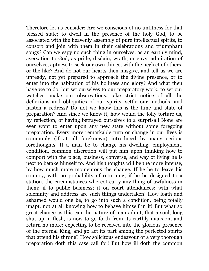Therefore let us consider: Are we conscious of no unfitness for that blessed state; to dwell in the presence of the holy God, to be associated with the heavenly assembly of pure intellectual spirits, to consort and join with them in their celebrations and triumphant songs? Can we espy no such thing in ourselves, as an earthly mind, aversation to God, as pride, disdain, wrath, or envy, admiration of ourselves, aptness to seek our own things, with the neglect of others, or the like? And do not our hearts then misgive, and tell us we are unready, not yet prepared to approach the divine presence, or to enter into the habitation of his holiness and glory? And what then have we to do, but set ourselves to our preparatory work; to set our watches, make our observations, take strict notice of all the deflexions and obliquities of our spirits, settle our methods, and hasten a redress? Do not we know this is the time and state of preparation? And since we know it, how would the folly torture us, by reflection, of having betrayed ourselves to a surprisal! None are ever wont to enter upon any new state without some foregoing preparation. Every more remarkable turn or change in our lives is commonly (if at all foreknown) introduced by many serious forethoughts. If a man be to change his dwelling, employment, condition, common discretion will put him upon thinking how to comport with the place, business, converse, and way of living he is next to betake himself to. And his thoughts will be the more intense, by how much more momentous the change. If he be to leave his country, with no probability of returning; if he be designed to a station, the circumstances whereof carry any thing of awfulness in them; if to public business; if on court attendances; with what solemnity and address are such things undertaken! How loath and ashamed would one be, to go into such a condition, being totally unapt, not at all knowing how to behave himself in it! But what so great change as this can the nature of man admit, that a soul, long shut up in flesh, is now to go forth from its earthly mansion, and return no more; expecting to be received into the glorious presence of the eternal King, and go act its part among the perfected spirits that attend his throne? How solicitous endeavour of a very thorough preparation doth this case call for! But how ill doth the common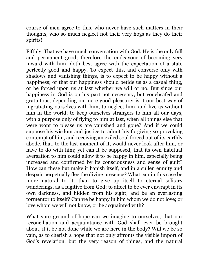course of men agree to this, who never have such matters in their thoughts, who so much neglect not their very hogs as they do their spirits!

Fifthly. That we have much conversation with God. He is the only full and permanent good; therefore the endeavour of becoming very inward with him, doth best agree with the expectation of a state perfectly good and happy. To expect this, and converse only with shadows and vanishing things, is to expect to be happy without a happiness; or that our happiness should betide us as a casual thing, or be forced upon us at last whether we will or no. But since our happiness in God is on his part not necessary, but vouchsafed and gratuitous, depending on mere good pleasure; is it our best way of ingratiating ourselves with him, to neglect him, and live as without him in the world; to keep ourselves strangers to him all our days, with a purpose only of flying to him at last, when all things else that were wont to please us are vanished and gone? And if we could suppose his wisdom and justice to admit his forgiving so provoking contempt of him, and receiving an exiled soul forced out of its earthly abode, that, to the last moment of it, would never look after him, or have to do with him; yet can it be supposed, that its own habitual aversation to him could allow it to be happy in him, especially being increased and confirmed by its consciousness and sense of guilt? How can these but make it banish itself, and in a sullen enmity and despair perpetually flee the divine presence? What can in this case be more natural to it, than to give up itself to eternal solitary wanderings, as a fugitive from God; to affect to be ever enwrapt in its own darkness, and hidden from his sight; and be an everlasting tormentor to itself? Can we be happy in him whom we do not love; or love whom we will not know, or be acquainted with?

What sure ground of hope can we imagine to ourselves, that our reconciliation and acquaintance with God shall ever be brought about, if it be not done while we are here in the body? Will we be so vain, as to cherish a hope that not only affronts the visible import of God's revelation, but the very reason of things, and the natural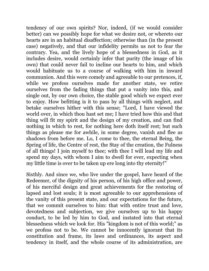tendency of our own spirits? Nor, indeed, (if we would consider better) can we possibly hope for what we desire not, or whereto our hearts are in an habitual disaffection; otherwise than (in the present case) negatively, and that our infidelity permits us not to fear the contrary. Yea, and the lively hope of a blessedness in God, as it includes desire, would certainly infer that purity (the image of his own) that could never fail to incline our hearts to him, and which would habituate us to a course of walking with him in inward communion. And this were comely and agreeable to our pretences, if, while we profess ourselves made for another state, we retire ourselves from the fading things that put a vanity into this, and single out, by our own choice, the stable good which we expect ever to enjoy. How befitting is it to pass by all things with neglect, and betake ourselves hither with this sense; "Lord, I have viewed the world over, in which thou hast set me; I have tried how this and that thing will fit my spirit and the design of my creation, and can find nothing in which to rest, for nothing here doth itself rest; but such things as please me for awhile, in some degree, vanish and flee as shadows from before me. Lo, I come to thee, the eternal Being, the Spring of life, the Centre of rest, the Stay of the creation, the Fulness of all things! I join myself to thee; with thee I will lead my life and spend my days, with whom I aim to dwell for ever, expecting when my little time is over to be taken up ere long into thy eternity!"

Sixthly. And since we, who live under the gospel, have heard of the Redeemer, of the dignity of his person, of his high office and power, of his merciful design and great achievements for the restoring of lapsed and lost souls; it is most agreeable to our apprehensions of the vanity of this present state, and our expectations for the future, that we commit ourselves to him: that with entire trust and love, devotedness and subjection, we give ourselves up to his happy conduct, to be led by him to God, and instated into that eternal blessedness which we look for. His "kingdom is not of this world;" as we profess not to be. We cannot be innocently ignorant that its constitution and frame, its laws and ordinances, its aspect and tendency in itself, and the whole course of its administration, are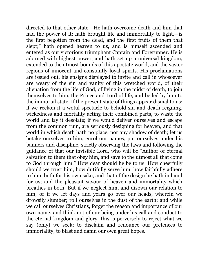directed to that other state. "He hath overcome death and him that had the power of it; hath brought life and immortality to light,—is the first begotten from the dead, and the first fruits of them that slept;" hath opened heaven to us, and is himself ascended and entered as our victorious triumphant Captain and Forerunner. He is adorned with highest power, and hath set up a universal kingdom, extended to the utmost bounds of this apostate world, and the vaster regions of innocent and constantly loyal spirits. His proclamations are issued out, his ensigns displayed to invite and call in whosoever are weary of the sin and vanity of this wretched world, of their alienation from the life of God, of living in the midst of death, to join themselves to him, the Prince and Lord of life, and be led by him to the immortal state. If the present state of things appear dismal to us; if we reckon it a woful spectacle to behold sin and death reigning, wickedness and mortality acting their combined parts, to waste the world and lay it desolate; if we would deliver ourselves and escape from the common ruin, are seriously designing for heaven, and that world in which death hath no place, nor any shadow of death; let us betake ourselves to him, enrol our names, put ourselves under his banners and discipline, strictly observing the laws and following the guidance of that our invisible Lord, who will be "Author of eternal salvation to them that obey him, and save to the utmost all that come to God through him." How dear should he be to us! How cheerfully should we trust him, how dutifully serve him, how faithfully adhere to him, both for his own sake, and that of the design he hath in hand for us; and the pleasant savour of heaven and immortality which breathes in both! But if we neglect him, and disown our relation to him; or if we let days and years go over our heads, wherein we drowsily slumber; roll ourselves in the dust of the earth; and while we call ourselves Christians, forget the reason and importance of our own name, and think not of our being under his call and conduct to the eternal kingdom and glory: this is perversely to reject what we say (only) we seek; to disclaim and renounce our pretences to immortality; to blast and damn our own great hopes.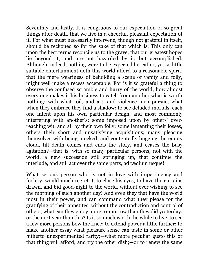Seventhly and lastly. It is congruous to our expectation of so great things after death, that we live in a cheerful, pleasant expectation of it. For what must necessarily intervene, though not grateful in itself, should be reckoned so for the sake of that which is. This only can upon the best terms reconcile us to the grave, that our greatest hopes lie beyond it, and are not hazarded by it, but accomplished. Although, indeed, nothing were to be expected hereafter, yet so little suitable entertainment doth this world afford to a reasonable spirit, that the mere weariness of beholding a scene of vanity and folly, might well make a recess acceptable. For is it so grateful a thing to observe the confused scramble and hurry of the world; how almost every one makes it his business to catch from another what is worth nothing; with what toil, and art, and violence men pursue, what when they embrace they find a shadow; to see deluded mortals, each one intent upon his own particular design, and most commonly interfering with another's; some imposed upon by others' overreaching wit, and all by their own folly; some lamenting their losses, others their short and unsatisfying acquisitions; many pleasing themselves with being mocked, and contentedly hugging the empty cloud, till death comes and ends the story, and ceases the busy agitation?—that is, with so many particular persons, not with the world; a new succession still springing up, that continue the interlude, and still act over the same parts, ad tædium usque!

What serious person who is not in love with impertinency and foolery, would much regret it, to close his eyes, to have the curtains drawn, and bid good-night to the world, without ever wishing to see the morning of such another day! And even they that have the world most in their power, and can command what they please for the gratifying of their appetites, without the contradiction and control of others, what can they enjoy more to-morrow than they did yesterday; or the next year than this? Is it so much worth the while to live, to see a few more persons bow the knee; to extend power a little further; to make another essay what pleasure sense can taste in some or other hitherto unexperimented rarity;—what more peculiar gusto this or that thing will afford; and try the other dish;—or to renew the same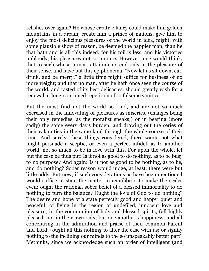relishes over again? He whose creative fancy could make him golden mountains in a dream, create him a prince of nations, give him to enjoy the most delicious pleasures of the world in idea, might, with some plausible show of reason, be deemed the happier man, than he that hath and is all this indeed: for his toil is less, and his victories unbloody, his pleasures not so impure. However, one would think, that to such whose utmost attainments end only in the pleasure of their sense, and have but this epiphonema, "Now let us sit down, eat, drink, and be merry," a little time might suffice for business of no more weight; and that no man, after he hath once seen the course of the world, and tasted of its best delicacies, should greatly wish for a renewal or long-continued repetition of so fulsome vanities.

But the most find not the world so kind, and are not so much exercised in the innovating of pleasures as miseries, (changes being their only remedies, as the moralist speaks;) or in bearing (more sadly) the same every day's burden; and drawing out the series of their calamities in the same kind through the whole course of their time. And surely, these things considered, there wants not what might persuade a sceptic, or even a perfect infidel, as to another world, not so much to be in love with this. For upon the whole, let but the case be thus put: Is it not as good to do nothing, as to be busy to no purpose? And again: Is it not as good to be nothing, as to be, and do nothing? Sober reason would judge, at least, there were but little odds. But now; if such considerations as have been mentioned would suffice to state the matter in æquilibrio, to make the scales even; ought the rational, sober belief of a blessed immortality to do nothing to turn the balance? Ought the love of God to do nothing? The desire and hope of a state perfectly good and happy, quiet and peaceful; of living in the region of undefiled, innocent love and pleasure; in the communion of holy and blessed spirits, (all highly pleased, not in their own only, but one another's happiness; and all concentring in the admiration and praise of their common Parent and Lord;) ought all this nothing to alter the case with us; or signify nothing to the inclining our minds to the so unspeakably better part? Methinks, since we acknowledge such an order of intelligent (and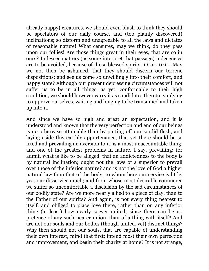already happy) creatures, we should even blush to think they should be spectators of our daily course, and (too plainly discovered) inclinations; so disform and unagreeable to all the laws and dictates of reasonable nature! What censures, may we think, do they pass upon our follies! Are those things great in their eyes, that are so in ours? In lesser matters (as some interpret that passage) indecencies are to be avoided, because of those blessed spirits. 1 Cor. 11:10. May we not then be ashamed, that they should discern our terrene dispositions; and see us come so unwillingly into their comfort, and happy state? Although our present depressing circumstances will not suffer us to be in all things, as yet, conformable to their high condition, we should however carry it as candidates thereto; studying to approve ourselves, waiting and longing to be transumed and taken up into it.

And since we have so high and great an expectation, and it is understood and known that the very perfection and end of our beings is no otherwise attainable than by putting off our sordid flesh, and laying aside this earthly appurtenance; that yet there should be so fixed and prevailing an aversion to it, is a most unaccountable thing, and one of the greatest problems in nature. I say, prevailing: for admit, what is like to be alleged, that an addictedness to the body is by natural inclination; ought not the laws of a superior to prevail over those of the inferior nature? and is not the love of God a higher natural law than that of the body; to whom here our service is little, yea, our disservice much; and from whose most desirable commerce we suffer so uncomfortable a disclusion by the sad circumstances of our bodily state? Are we more nearly allied to a piece of clay, than to the Father of our spirits? And again, is not every thing nearest to itself; and obliged to place love there, rather than on any inferior thing (at least) how nearly soever united; since there can be no pretence of any such nearer union, than of a thing with itself? And are not our souls and our bodies (though united, yet) distinct things? Why then should not our souls, that are capable of understanding their own interest, mind that first; intend most their own perfection and improvement, and begin their charity at home? It is not strange,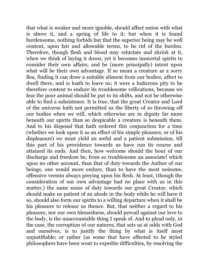that what is weaker and more ignoble, should affect union with what is above it, and a spring of life to it: but when it is found burdensome, nothing forbids but that the superior being may be well content, upon fair and allowable terms, to be rid of the burden. Therefore, though flesh and blood may reluctate and shrink at it, when we think of laying it down; yet it becomes immortal spirits to consider their own affairs, and be (more principally) intent upon what will be their own advantage. If so mean a creature as a sorry flea, finding it can draw a suitable aliment from our bodies, affect to dwell there, and is loath to leave us; it were a ludicrous pity to be therefore content to endure its troublesome vellications, because we fear the poor animal should be put to its shifts, and not be otherwise able to find a subsistence. It is true, that the great Creator and Lord of the universe hath not permitted us the liberty of so throwing off our bodies when we will, which otherwise are in dignity far more beneath our spirits than so despicable a creature is beneath them. And to his disposal that hath ordered this conjunction for a time (whether we look upon it as an effect of his simple pleasure, or of his displeasure) we must yield an awful and a patient submission, till this part of his providence towards us have run its course and attained its ends. And then, how welcome should the hour of our discharge and freedom be, from so troublesome an associate! which upon no other account, than that of duty towards the Author of our beings, one would more endure, than to have the most noisome, offensive vermin always preying upon his flesh. At least, (though the consideration of our own advantage had no place with us in this matter,) the same sense of duty towards our great Creator, which should make us patient of an abode in the body while he will have it so, should also form our spirits to a willing departure when it shall be his pleasure to release us thence. But, that neither a regard to his pleasure, nor our own blessedness, should prevail against our love to the body, is the unaccountable thing I speak of. And to plead only, in the case, the corruption of our natures, that sets us at odds with God and ourselves, is to justify the thing by what is itself most unjustifiable; or rather (as some that have affected to be styled philosophers have been wont to expedite difficulties, by resolving the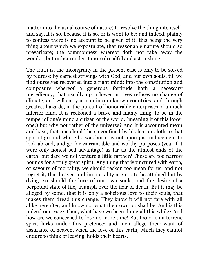matter into the usual course of nature) to resolve the thing into itself, and say, it is so, because it is so, or is wont to be; and indeed, plainly to confess there is no account to be given of it: this being the very thing about which we expostulate, that reasonable nature should so prevaricate; the commonness whereof doth not take away the wonder, but rather render it more dreadful and astonishing.

The truth is, the incongruity in the present case is only to be solved by redress; by earnest strivings with God, and our own souls, till we find ourselves recovered into a right mind; into the constitution and composure whereof a generous fortitude hath a necessary ingrediency; that usually upon lower motives refuses no change of climate, and will carry a man into unknown countries, and through greatest hazards, in the pursuit of honourable enterprises of a much inferior kind. It is reckoned a brave and manly thing, to be in the temper of one's mind a citizen of the world, (meaning it of this lower one;) but why not rather of the universe? And it is accounted mean and base, that one should be so confined by his fear or sloth to that spot of ground where he was born, as not upon just inducement to look abroad, and go for warrantable and worthy purposes (yea, if it were only honest self-advantage) as far as the utmost ends of the earth: but dare we not venture a little farther? These are too narrow bounds for a truly great spirit. Any thing that is tinctured with earth, or savours of mortality, we should reckon too mean for us; and not regret it, that heaven and immortality are not to be attained but by dying: so should the love of our own souls, and the desire of a perpetual state of life, triumph over the fear of death. But it may be alleged by some, that it is only a solicitous love to their souls, that makes them dread this change. They know it will not fare with all alike hereafter, and know not what their own lot shall be. And is this indeed our case? Then, what have we been doing all this while? And how are we concerned to lose no more time! But too often a terrene spirit lurks under this pretence; and men allege their want of assurance of heaven, when the love of this earth, which they cannot endure to think of leaving, holds their hearts.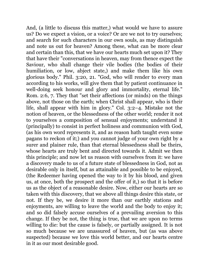And, (a little to discuss this matter,) what would we have to assure us? Do we expect a vision, or a voice? Or are we not to try ourselves; and search for such characters in our own souls, as may distinguish and note us out for heaven? Among these, what can be more clear and certain than this, that we have our hearts much set upon it? They that have their "conversations in heaven, may from thence expect the Saviour, who shall change their vile bodies (the bodies of their humiliation, or low, abject state,) and make them like his own glorious body." Phil. 3:20, 21. "God, who will render to every man according to his works, will give them that by patient continuance in well-doing seek honour and glory and immortality, eternal life." Rom. 2:6, 7. They that "set their affections (or minds) on the things above, not those on the earth; when Christ shall appear, who is their life, shall appear with him in glory." Col. 3:2–4. Mistake not the notion of heaven, or the blessedness of the other world; render it not to yourselves a composition of sensual enjoyments; understand it (principally) to consist in perfect holiness and communion with God, (as his own word represents it, and as reason hath taught even some pagans to reckon of it;) and you cannot judge of your own right by a surer and plainer rule, than that eternal blessedness shall be theirs, whose hearts are truly bent and directed towards it. Admit we then this principle; and now let us reason with ourselves from it: we have a discovery made to us of a future state of blessedness in God, not as desirable only in itself, but as attainable and possible to be enjoyed, (the Redeemer having opened the way to it by his blood, and given us, at once, both the prospect and the offer of it,) so that it is before us as the object of a reasonable desire. Now, either our hearts are so taken with this discovery, that we above all things desire this state, or not. If they be, we desire it more than our earthly stations and enjoyments, are willing to leave the world and the body to enjoy it; and so did falsely accuse ourselves of a prevailing aversion to this change. If they be not, the thing is true, that we are upon no terms willing to die: but the cause is falsely, or partially assigned. It is not so much because we are unassured of heaven, but (as was above suspected) because we love this world better, and our hearts centre in it as our most desirable good.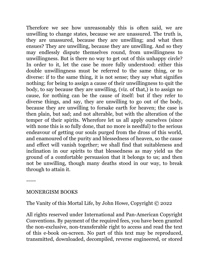Therefore we see how unreasonably this is often said, we are unwilling to change states, because we are unassured. The truth is, they are unassured, because they are unwilling; and what then ensues? They are unwilling, because they are unwilling. And so they may endlessly dispute themselves round, from unwillingness to unwillingness. But is there no way to get out of this unhappy circle? In order to it, let the case be more fully understood: either this double unwillingness must be referred to the same thing, or to diverse: if to the same thing, it is not sense; they say what signifies nothing; for being to assign a cause of their unwillingness to quit the body, to say because they are unwilling, (viz. of that,) is to assign no cause, for nothing can be the cause of itself: but if they refer to diverse things, and say, they are unwilling to go out of the body, because they are unwilling to forsake earth for heaven; the case is then plain, but sad; and not alterable, but with the alteration of the temper of their spirits. Wherefore let us all apply ourselves (since with none this is so fully done, that no more is needful) to the serious endeavour of getting our souls purged from the dross of this world, and enamoured of the purity and blessedness of heaven, so the cause and effect will vanish together; we shall find that suitableness and inclination in our spirits to that blessedness as may yield us the ground of a comfortable persuasion that it belongs to us; and then not be unwilling, though many deaths stood in our way, to break through to attain it.

-----

## MONERGISM BOOKS

The Vanity of this Mortal Life, by John Howe, Copyright © 2022

All rights reserved under International and Pan-American Copyright Conventions. By payment of the required fees, you have been granted the non-exclusive, non-transferable right to access and read the text of this e-book on-screen. No part of this text may be reproduced, transmitted, downloaded, decompiled, reverse engineered, or stored